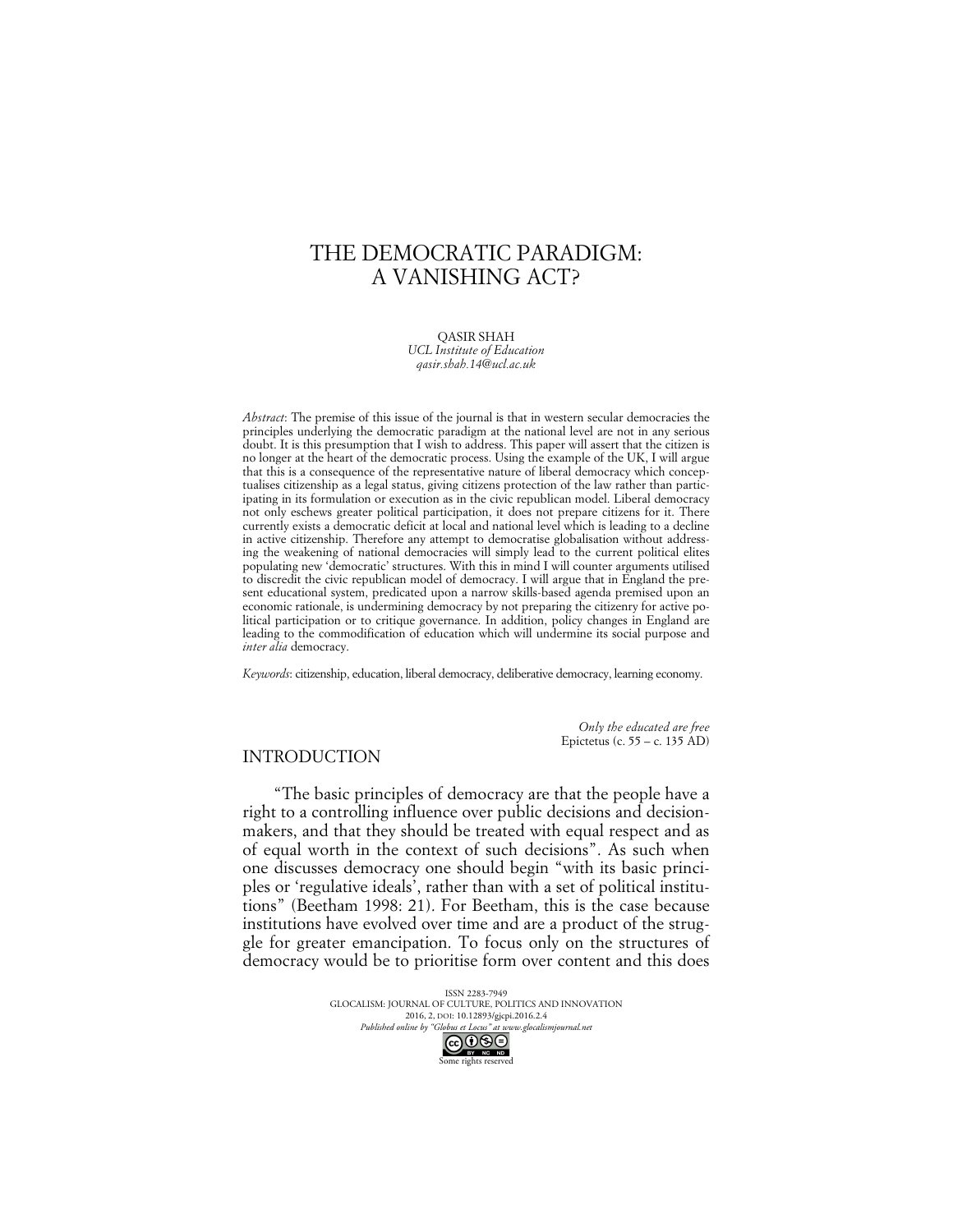# THE DEMOCRATIC PARADIGM: A VANISHING ACT?

QASIR SHAH *UCL Institute of Education qasir.shah.14@ucl.ac.uk*

*Abstract*: The premise of this issue of the journal is that in western secular democracies the principles underlying the democratic paradigm at the national level are not in any serious doubt. It is this presumption that I wish to address. This paper will assert that the citizen is no longer at the heart of the democratic process. Using the example of the UK, I will argue that this is a consequence of the representative nature of liberal democracy which conceptualises citizenship as a legal status, giving citizens protection of the law rather than participating in its formulation or execution as in the civic republican model. Liberal democracy not only eschews greater political participation, it does not prepare citizens for it. There currently exists a democratic deficit at local and national level which is leading to a decline in active citizenship. Therefore any attempt to democratise globalisation without addressing the weakening of national democracies will simply lead to the current political elites populating new 'democratic' structures. With this in mind I will counter arguments utilised to discredit the civic republican model of democracy. I will argue that in England the present educational system, predicated upon a narrow skills-based agenda premised upon an economic rationale, is undermining democracy by not preparing the citizenry for active political participation or to critique governance. In addition, policy changes in England are leading to the commodification of education which will undermine its social purpose and *inter alia* democracy.

*Keywords*: citizenship, education, liberal democracy, deliberative democracy, learning economy.

*Only the educated are free* Epictetus (c. 55 – c. 135 AD)

## INTRODUCTION

"The basic principles of democracy are that the people have a right to a controlling influence over public decisions and decisionmakers, and that they should be treated with equal respect and as of equal worth in the context of such decisions". As such when one discusses democracy one should begin "with its basic principles or 'regulative ideals', rather than with a set of political institutions" (Beetham 1998: 21). For Beetham, this is the case because institutions have evolved over time and are a product of the struggle for greater emancipation. To focus only on the structures of democracy would be to prioritise form over content and this does

> ISSN 2283-7949 GLOCALISM: JOURNAL OF CULTURE, POLITICS AND INNOVATION 2016, 2, DOI: 10.12893/gjcpi.2016.2.4 *Published online by "Globus et Locus" at www.glocalismjournal.net*<br>  $\bigodot \bigodot \bigodot$ <br>
> <u>BY</u> RE ND ome rights reserved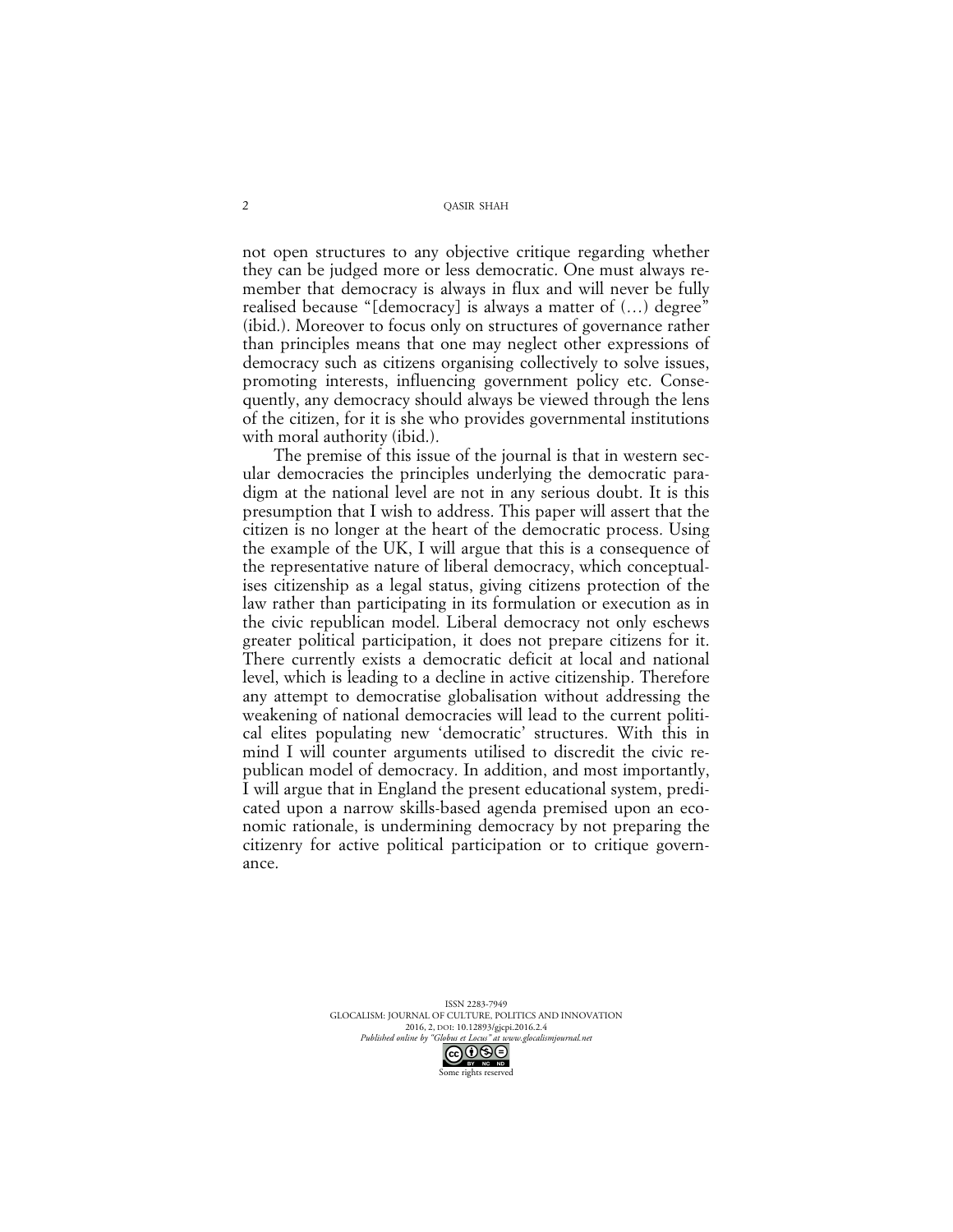not open structures to any objective critique regarding whether they can be judged more or less democratic. One must always remember that democracy is always in flux and will never be fully realised because "[democracy] is always a matter of (…) degree" (ibid.). Moreover to focus only on structures of governance rather than principles means that one may neglect other expressions of democracy such as citizens organising collectively to solve issues, promoting interests, influencing government policy etc. Consequently, any democracy should always be viewed through the lens of the citizen, for it is she who provides governmental institutions with moral authority (ibid.).

The premise of this issue of the journal is that in western secular democracies the principles underlying the democratic paradigm at the national level are not in any serious doubt. It is this presumption that I wish to address. This paper will assert that the citizen is no longer at the heart of the democratic process. Using the example of the UK, I will argue that this is a consequence of the representative nature of liberal democracy, which conceptualises citizenship as a legal status, giving citizens protection of the law rather than participating in its formulation or execution as in the civic republican model. Liberal democracy not only eschews greater political participation, it does not prepare citizens for it. There currently exists a democratic deficit at local and national level, which is leading to a decline in active citizenship. Therefore any attempt to democratise globalisation without addressing the weakening of national democracies will lead to the current political elites populating new 'democratic' structures. With this in mind I will counter arguments utilised to discredit the civic republican model of democracy. In addition, and most importantly, I will argue that in England the present educational system, predicated upon a narrow skills-based agenda premised upon an economic rationale, is undermining democracy by not preparing the citizenry for active political participation or to critique governance.

> ISSN 2283-7949 GLOCALISM: JOURNAL OF CULTURE, POLITICS AND INNOVATION 2016, 2, DOI: 10.12893/gjcpi.2016.2.4<br>nline by "Globus et Locus" at www.glocalismiournal net

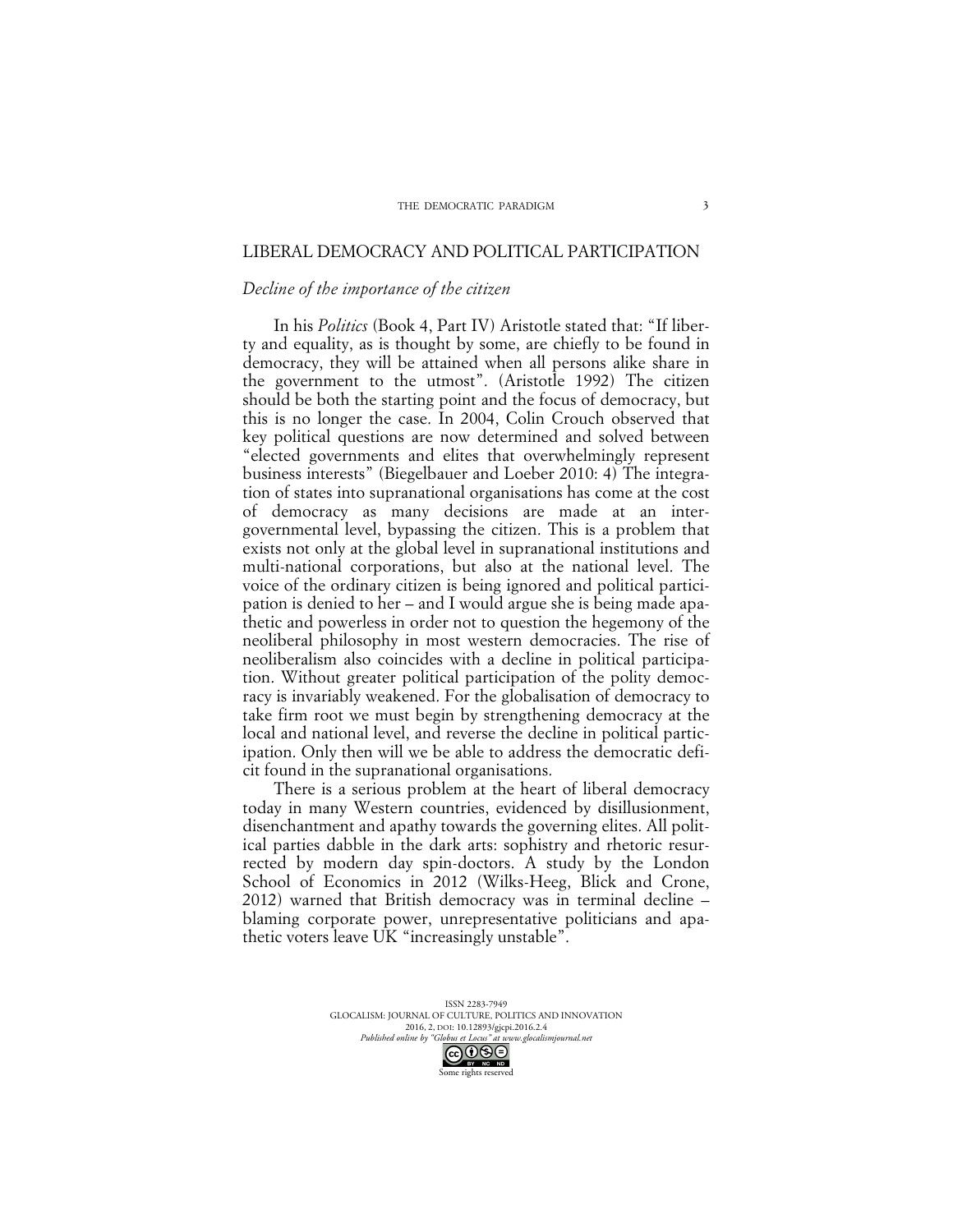### LIBERAL DEMOCRACY AND POLITICAL PARTICIPATION

#### *Decline of the importance of the citizen*

In his *Politics* (Book 4, Part IV) Aristotle stated that: "If liberty and equality, as is thought by some, are chiefly to be found in democracy, they will be attained when all persons alike share in the government to the utmost". (Aristotle 1992) The citizen should be both the starting point and the focus of democracy, but this is no longer the case. In 2004, Colin Crouch observed that key political questions are now determined and solved between "elected governments and elites that overwhelmingly represent business interests" (Biegelbauer and Loeber 2010: 4) The integration of states into supranational organisations has come at the cost of democracy as many decisions are made at an intergovernmental level, bypassing the citizen. This is a problem that exists not only at the global level in supranational institutions and multi-national corporations, but also at the national level. The voice of the ordinary citizen is being ignored and political participation is denied to her – and I would argue she is being made apathetic and powerless in order not to question the hegemony of the neoliberal philosophy in most western democracies. The rise of neoliberalism also coincides with a decline in political participation. Without greater political participation of the polity democracy is invariably weakened. For the globalisation of democracy to take firm root we must begin by strengthening democracy at the local and national level, and reverse the decline in political participation. Only then will we be able to address the democratic deficit found in the supranational organisations.

There is a serious problem at the heart of liberal democracy today in many Western countries, evidenced by disillusionment, disenchantment and apathy towards the governing elites. All political parties dabble in the dark arts: sophistry and rhetoric resurrected by modern day spin-doctors. A study by the London School of Economics in 2012 (Wilks-Heeg, Blick and Crone, 2012) warned that British democracy was in terminal decline – blaming corporate power, unrepresentative politicians and apathetic voters leave UK "increasingly unstable".

> ISSN 2283-7949 GLOCALISM: JOURNAL OF CULTURE, POLITICS AND INNOVATION 2016, 2, DOI: 10.12893/gjcpi.2016.2.4<br>
> uline by "Globus et Locus" at www.olocalismiournal net *Published online by "Globus et Locus" at www.glocalismigues at www.glocalismiguese.glocalismiguese*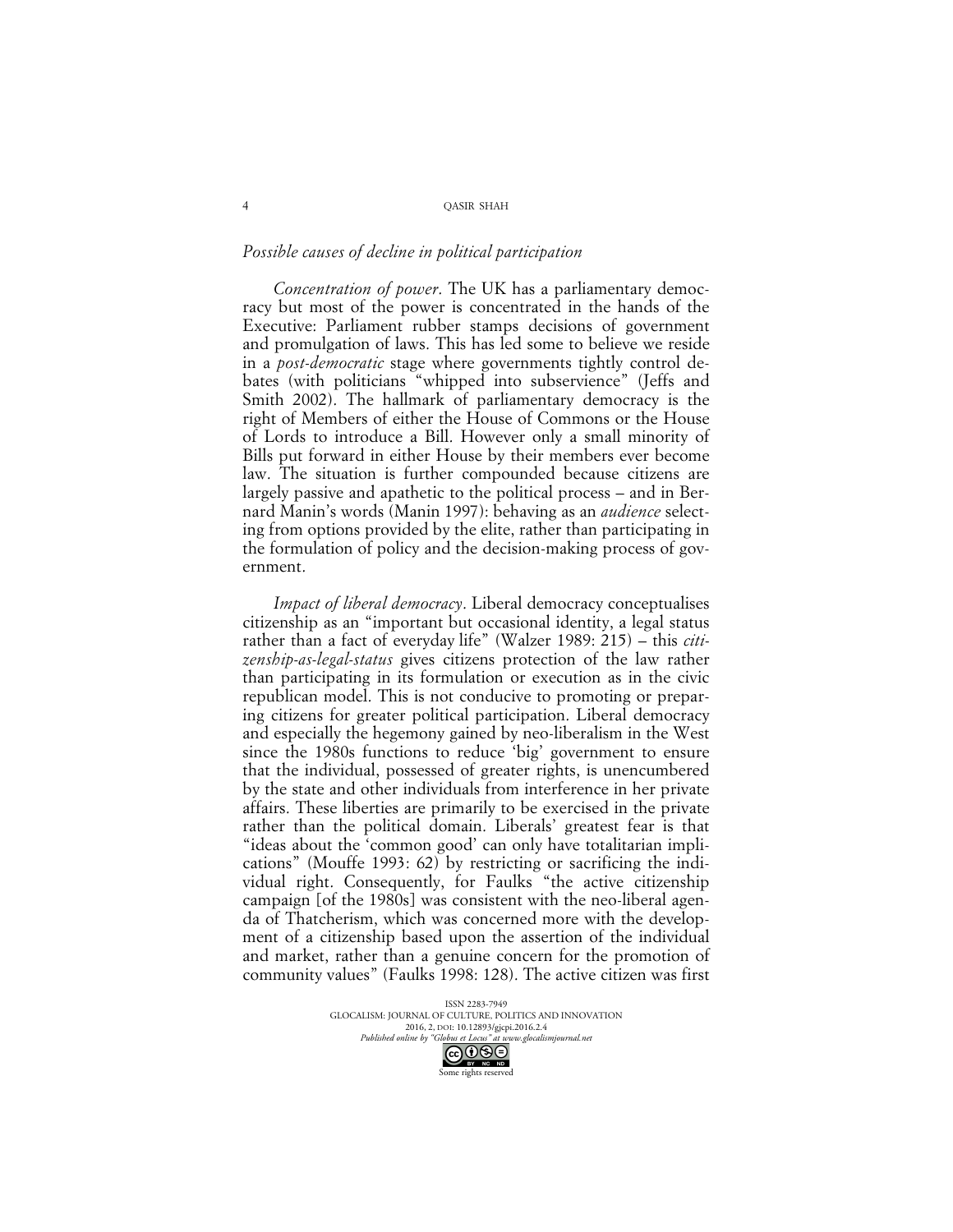### *Possible causes of decline in political participation*

*Concentration of power*. The UK has a parliamentary democracy but most of the power is concentrated in the hands of the Executive: Parliament rubber stamps decisions of government and promulgation of laws. This has led some to believe we reside in a *post-democratic* stage where governments tightly control debates (with politicians "whipped into subservience" (Jeffs and Smith 2002). The hallmark of parliamentary democracy is the right of Members of either the House of Commons or the House of Lords to introduce a Bill. However only a small minority of Bills put forward in either House by their members ever become law. The situation is further compounded because citizens are largely passive and apathetic to the political process – and in Bernard Manin's words (Manin 1997): behaving as an *audience* selecting from options provided by the elite, rather than participating in the formulation of policy and the decision-making process of government.

*Impact of liberal democracy*. Liberal democracy conceptualises citizenship as an "important but occasional identity, a legal status rather than a fact of everyday life" (Walzer 1989: 215) – this *citizenship-as-legal-status* gives citizens protection of the law rather than participating in its formulation or execution as in the civic republican model. This is not conducive to promoting or preparing citizens for greater political participation. Liberal democracy and especially the hegemony gained by neo-liberalism in the West since the 1980s functions to reduce 'big' government to ensure that the individual, possessed of greater rights, is unencumbered by the state and other individuals from interference in her private affairs. These liberties are primarily to be exercised in the private rather than the political domain. Liberals' greatest fear is that "ideas about the 'common good' can only have totalitarian implications" (Mouffe 1993: 62) by restricting or sacrificing the individual right. Consequently, for Faulks "the active citizenship campaign [of the 1980s] was consistent with the neo-liberal agenda of Thatcherism, which was concerned more with the development of a citizenship based upon the assertion of the individual and market, rather than a genuine concern for the promotion of community values" (Faulks 1998: 128). The active citizen was first

> ISSN 2283-7949 GLOCALISM: JOURNAL OF CULTURE, POLITICS AND INNOVATION 2016, 2, DOI: 10.12893/gjcpi.2016.2.4<br>nline by "Globus et Locus" at www.glocalismiournal net *Published online by "Globus et Locus" at www.glocalismigues at www.glocalismiguese.*



4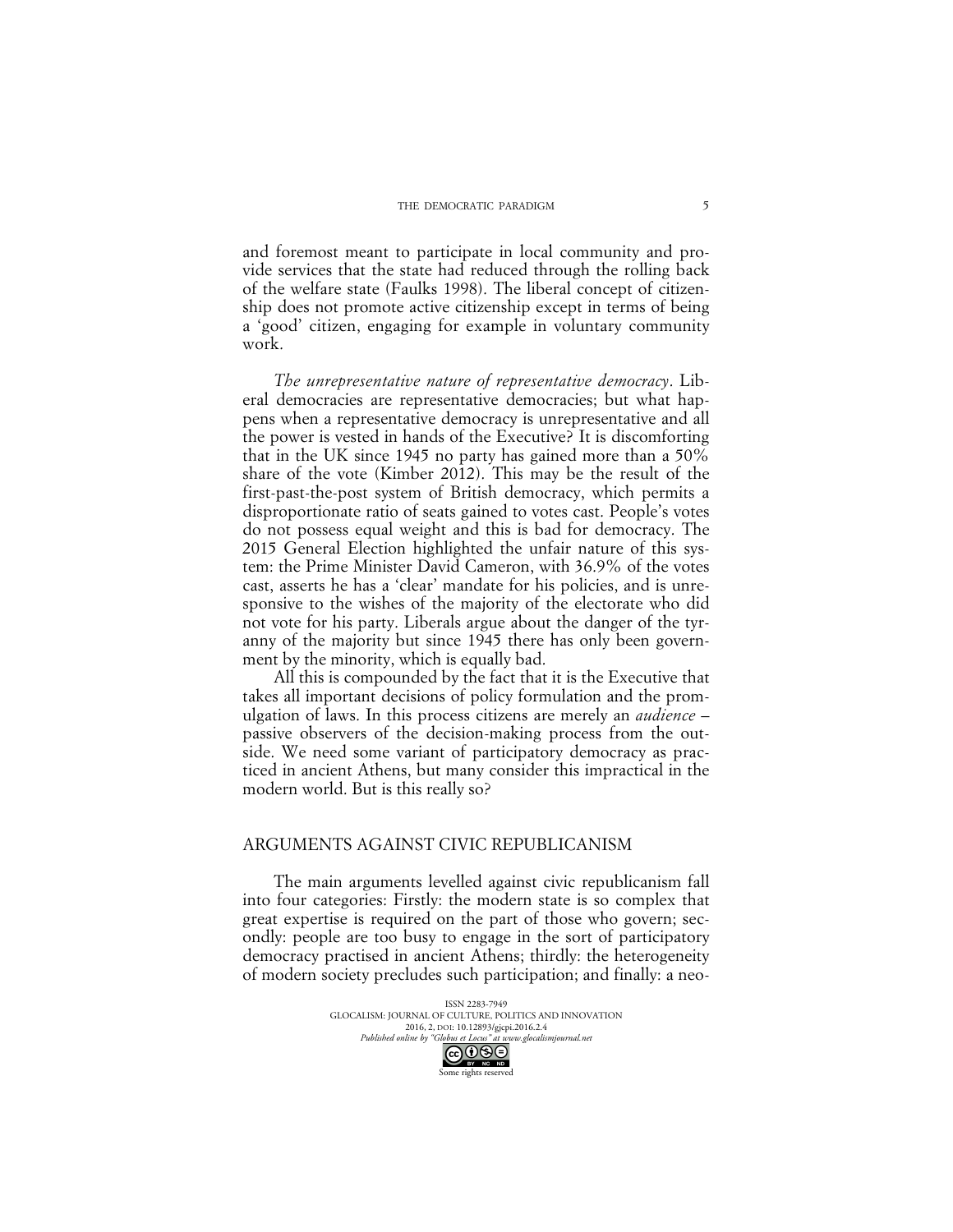and foremost meant to participate in local community and provide services that the state had reduced through the rolling back of the welfare state (Faulks 1998). The liberal concept of citizenship does not promote active citizenship except in terms of being a 'good' citizen, engaging for example in voluntary community work.

*The unrepresentative nature of representative democracy*. Liberal democracies are representative democracies; but what happens when a representative democracy is unrepresentative and all the power is vested in hands of the Executive? It is discomforting that in the UK since 1945 no party has gained more than a 50% share of the vote (Kimber 2012). This may be the result of the first-past-the-post system of British democracy, which permits a disproportionate ratio of seats gained to votes cast. People's votes do not possess equal weight and this is bad for democracy. The 2015 General Election highlighted the unfair nature of this system: the Prime Minister David Cameron, with 36.9% of the votes cast, asserts he has a 'clear' mandate for his policies, and is unresponsive to the wishes of the majority of the electorate who did not vote for his party. Liberals argue about the danger of the tyranny of the majority but since 1945 there has only been government by the minority, which is equally bad.

All this is compounded by the fact that it is the Executive that takes all important decisions of policy formulation and the promulgation of laws. In this process citizens are merely an *audience* – passive observers of the decision-making process from the outside. We need some variant of participatory democracy as practiced in ancient Athens, but many consider this impractical in the modern world. But is this really so?

### ARGUMENTS AGAINST CIVIC REPUBLICANISM

The main arguments levelled against civic republicanism fall into four categories: Firstly: the modern state is so complex that great expertise is required on the part of those who govern; secondly: people are too busy to engage in the sort of participatory democracy practised in ancient Athens; thirdly: the heterogeneity of modern society precludes such participation; and finally: a neo-

> ISSN 2283-7949 GLOCALISM: JOURNAL OF CULTURE, POLITICS AND INNOVATION 2016, 2, DOI: 10.12893/gjcpi.2016.2.4<br>nline by "Globus et Locus" at www.glocalismiournal.net *Published online by "Globus et Locus" at www.glocalismigues*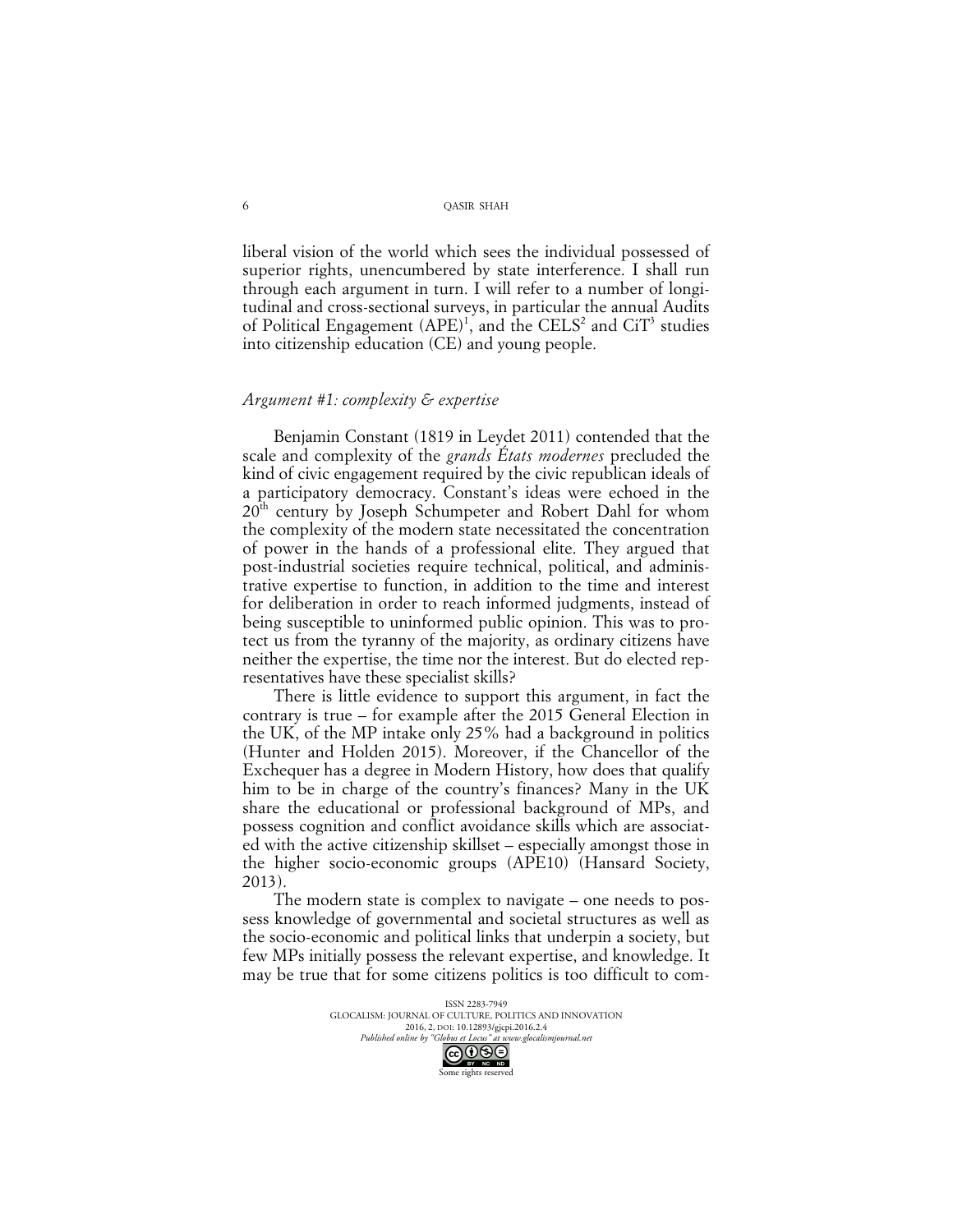liberal vision of the world which sees the individual possessed of superior rights, unencumbered by state interference. I shall run through each argument in turn. I will refer to a number of longitudinal and cross-sectional surveys, in particular the annual Audits of Political Engagement  $(APE)^1$ , and the CELS<sup>2</sup> and CiT<sup>3</sup> studies into citizenship education (CE) and young people.

### *Argument #1: complexity & expertise*

Benjamin Constant (1819 in Leydet 2011) contended that the scale and complexity of the *grands États modernes* precluded the kind of civic engagement required by the civic republican ideals of a participatory democracy. Constant's ideas were echoed in the 20<sup>th</sup> century by Joseph Schumpeter and Robert Dahl for whom the complexity of the modern state necessitated the concentration of power in the hands of a professional elite. They argued that post-industrial societies require technical, political, and administrative expertise to function, in addition to the time and interest for deliberation in order to reach informed judgments, instead of being susceptible to uninformed public opinion. This was to protect us from the tyranny of the majority, as ordinary citizens have neither the expertise, the time nor the interest. But do elected representatives have these specialist skills?

There is little evidence to support this argument, in fact the contrary is true – for example after the 2015 General Election in the UK, of the MP intake only 25% had a background in politics (Hunter and Holden 2015). Moreover, if the Chancellor of the Exchequer has a degree in Modern History, how does that qualify him to be in charge of the country's finances? Many in the UK share the educational or professional background of MPs, and possess cognition and conflict avoidance skills which are associated with the active citizenship skillset – especially amongst those in the higher socio-economic groups (APE10) (Hansard Society, 2013).

The modern state is complex to navigate – one needs to possess knowledge of governmental and societal structures as well as the socio-economic and political links that underpin a society, but few MPs initially possess the relevant expertise, and knowledge. It may be true that for some citizens politics is too difficult to com-

> ISSN 2283-7949 GLOCALISM: JOURNAL OF CULTURE, POLITICS AND INNOVATION 2016, 2, DOI: 10.12893/gjcpi.2016.2.4<br>nline by "Globus et Locus" at www.glocalismiournal net *Published online by "Globus et Locus" at www.glocalismigues at www.glocalismiguese.* Some rights reserved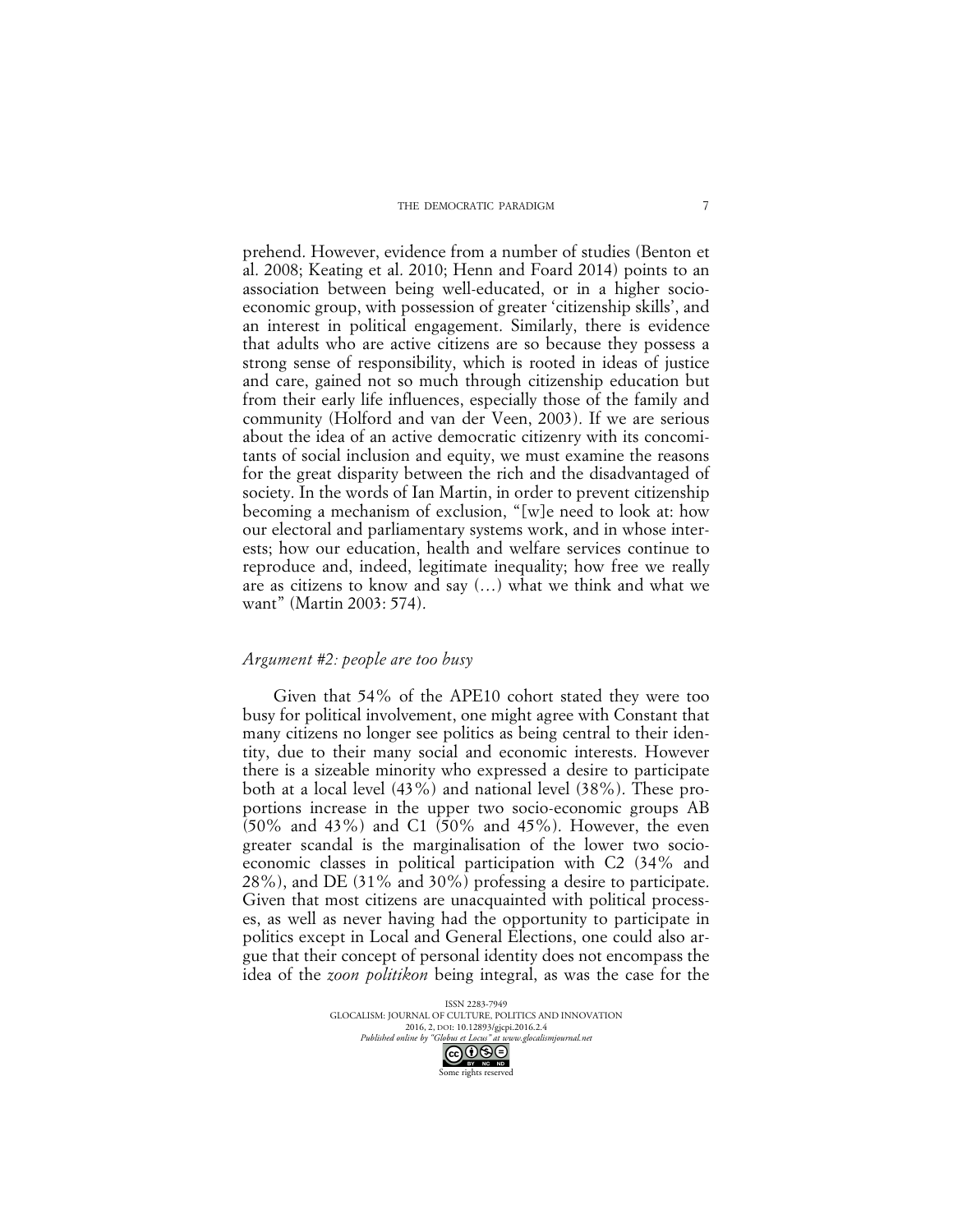#### THE DEMOCRATIC PARADIGM

prehend. However, evidence from a number of studies (Benton et al. 2008; Keating et al. 2010; Henn and Foard 2014) points to an association between being well-educated, or in a higher socioeconomic group, with possession of greater 'citizenship skills', and an interest in political engagement. Similarly, there is evidence that adults who are active citizens are so because they possess a strong sense of responsibility, which is rooted in ideas of justice and care, gained not so much through citizenship education but from their early life influences, especially those of the family and community (Holford and van der Veen, 2003). If we are serious about the idea of an active democratic citizenry with its concomitants of social inclusion and equity, we must examine the reasons for the great disparity between the rich and the disadvantaged of society. In the words of Ian Martin, in order to prevent citizenship becoming a mechanism of exclusion, "[w]e need to look at: how our electoral and parliamentary systems work, and in whose interests; how our education, health and welfare services continue to reproduce and, indeed, legitimate inequality; how free we really are as citizens to know and say (…) what we think and what we want" (Martin 2003: 574).

#### *Argument #2: people are too busy*

Given that 54% of the APE10 cohort stated they were too busy for political involvement, one might agree with Constant that many citizens no longer see politics as being central to their identity, due to their many social and economic interests. However there is a sizeable minority who expressed a desire to participate both at a local level (43%) and national level (38%). These proportions increase in the upper two socio-economic groups AB (50% and 43%) and C1 (50% and 45%). However, the even greater scandal is the marginalisation of the lower two socioeconomic classes in political participation with C2 (34% and 28%), and DE (31% and 30%) professing a desire to participate. Given that most citizens are unacquainted with political processes, as well as never having had the opportunity to participate in politics except in Local and General Elections, one could also argue that their concept of personal identity does not encompass the idea of the *zoon politikon* being integral, as was the case for the

> ISSN 2283-7949 GLOCALISM: JOURNAL OF CULTURE, POLITICS AND INNOVATION 2016, 2, DOI: 10.12893/gjcpi.2016.2.4<br>nline by "Globus et Locus" at www.glocalismiournal net *Published online by "Globus et Locus" at www.glocalismigues*

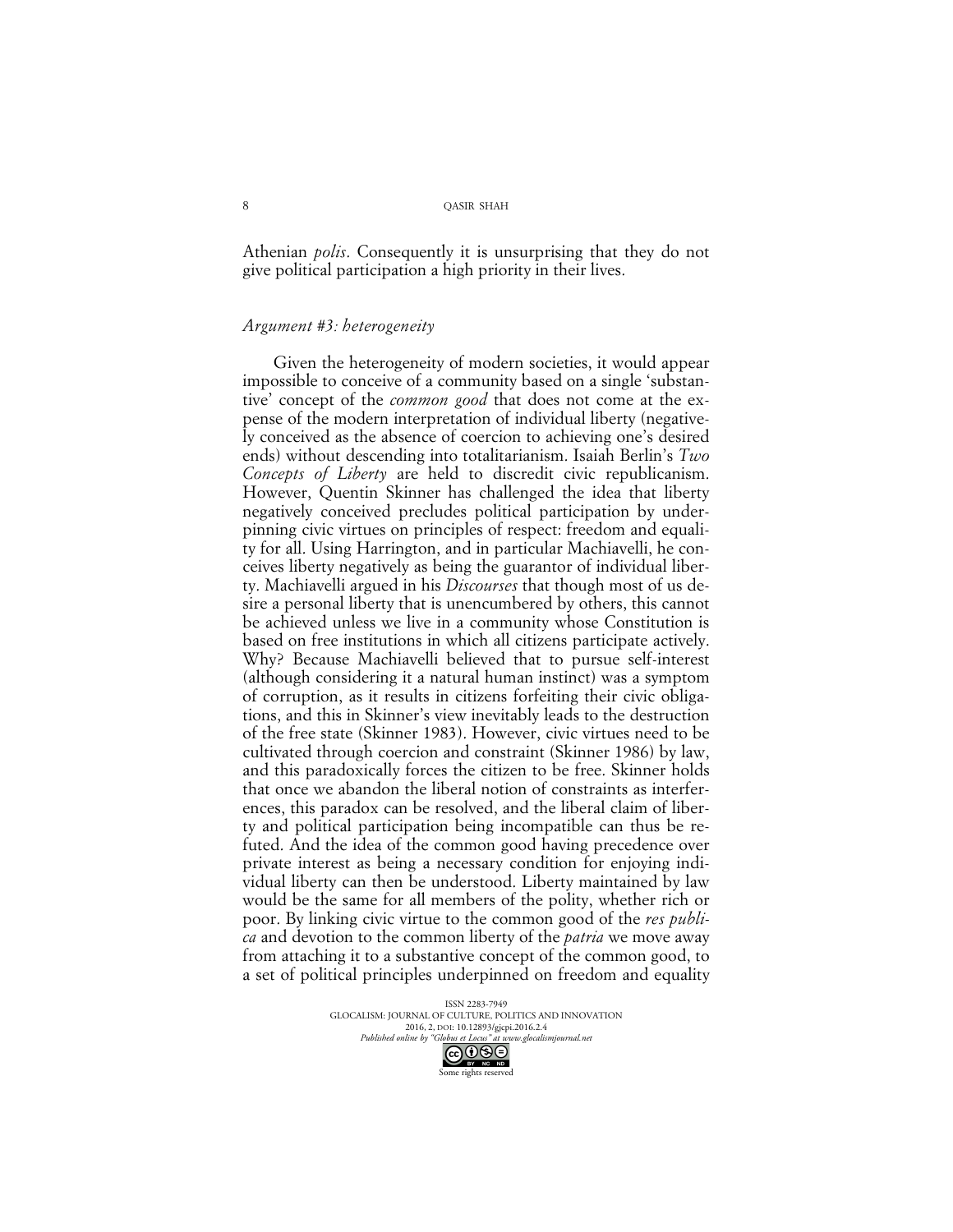Athenian *polis*. Consequently it is unsurprising that they do not give political participation a high priority in their lives.

### *Argument #3: heterogeneity*

Given the heterogeneity of modern societies, it would appear impossible to conceive of a community based on a single 'substantive' concept of the *common good* that does not come at the expense of the modern interpretation of individual liberty (negatively conceived as the absence of coercion to achieving one's desired ends) without descending into totalitarianism. Isaiah Berlin's *Two Concepts of Liberty* are held to discredit civic republicanism. However, Quentin Skinner has challenged the idea that liberty negatively conceived precludes political participation by underpinning civic virtues on principles of respect: freedom and equality for all. Using Harrington, and in particular Machiavelli, he conceives liberty negatively as being the guarantor of individual liberty. Machiavelli argued in his *Discourses* that though most of us desire a personal liberty that is unencumbered by others, this cannot be achieved unless we live in a community whose Constitution is based on free institutions in which all citizens participate actively. Why? Because Machiavelli believed that to pursue self-interest (although considering it a natural human instinct) was a symptom of corruption, as it results in citizens forfeiting their civic obligations, and this in Skinner's view inevitably leads to the destruction of the free state (Skinner 1983). However, civic virtues need to be cultivated through coercion and constraint (Skinner 1986) by law, and this paradoxically forces the citizen to be free. Skinner holds that once we abandon the liberal notion of constraints as interferences, this paradox can be resolved, and the liberal claim of liberty and political participation being incompatible can thus be refuted. And the idea of the common good having precedence over private interest as being a necessary condition for enjoying individual liberty can then be understood. Liberty maintained by law would be the same for all members of the polity, whether rich or poor. By linking civic virtue to the common good of the *res publica* and devotion to the common liberty of the *patria* we move away from attaching it to a substantive concept of the common good, to a set of political principles underpinned on freedom and equality

> ISSN 2283-7949 GLOCALISM: JOURNAL OF CULTURE, POLITICS AND INNOVATION 2016, 2, DOI: 10.12893/gjcpi.2016.2.4<br>nline by "Globus et Locus" at www.glocalismiournal net *Published online by "Globus et Locus" at www.glocalismigues at www.glocalismiguese.glocalismiguese*

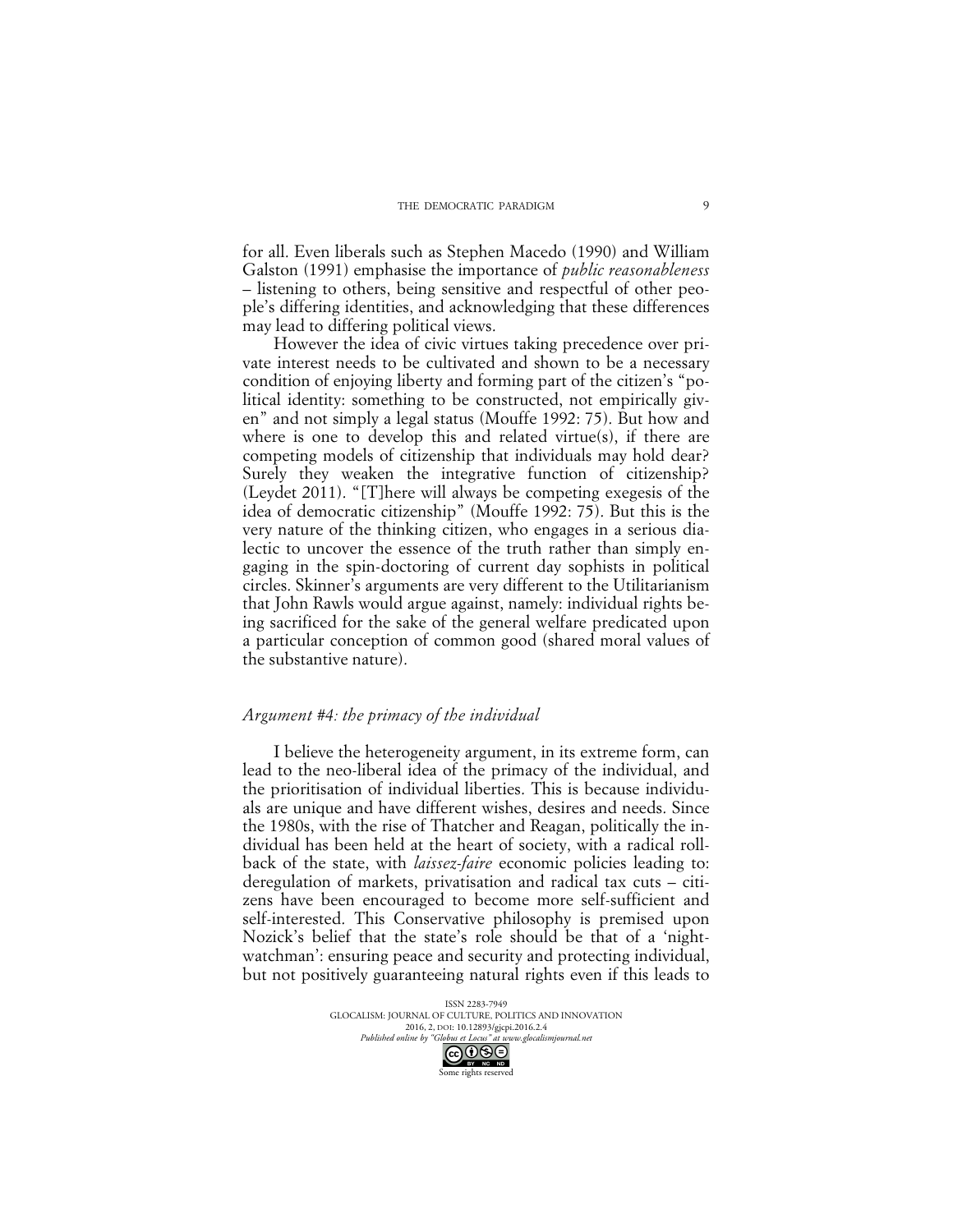for all. Even liberals such as Stephen Macedo (1990) and William Galston (1991) emphasise the importance of *public reasonableness* – listening to others, being sensitive and respectful of other people's differing identities, and acknowledging that these differences may lead to differing political views.

However the idea of civic virtues taking precedence over private interest needs to be cultivated and shown to be a necessary condition of enjoying liberty and forming part of the citizen's "political identity: something to be constructed, not empirically given" and not simply a legal status (Mouffe 1992: 75). But how and where is one to develop this and related virtue(s), if there are competing models of citizenship that individuals may hold dear? Surely they weaken the integrative function of citizenship? (Leydet 2011). "[T]here will always be competing exegesis of the idea of democratic citizenship" (Mouffe 1992: 75). But this is the very nature of the thinking citizen, who engages in a serious dialectic to uncover the essence of the truth rather than simply engaging in the spin-doctoring of current day sophists in political circles. Skinner's arguments are very different to the Utilitarianism that John Rawls would argue against, namely: individual rights being sacrificed for the sake of the general welfare predicated upon a particular conception of common good (shared moral values of the substantive nature).

#### *Argument #4: the primacy of the individual*

I believe the heterogeneity argument, in its extreme form, can lead to the neo-liberal idea of the primacy of the individual, and the prioritisation of individual liberties. This is because individuals are unique and have different wishes, desires and needs. Since the 1980s, with the rise of Thatcher and Reagan, politically the individual has been held at the heart of society, with a radical rollback of the state, with *laissez-faire* economic policies leading to: deregulation of markets, privatisation and radical tax cuts – citizens have been encouraged to become more self-sufficient and self-interested. This Conservative philosophy is premised upon Nozick's belief that the state's role should be that of a 'nightwatchman': ensuring peace and security and protecting individual, but not positively guaranteeing natural rights even if this leads to

> ISSN 2283-7949 GLOCALISM: JOURNAL OF CULTURE, POLITICS AND INNOVATION 2016, 2, DOI: 10.12893/gjcpi.2016.2.4<br>nline by "Globus et Locus" at www.glocalismiournal.net *Published online by "Globus et Locus" at www.glocalismigues at www.glocalismiguese.*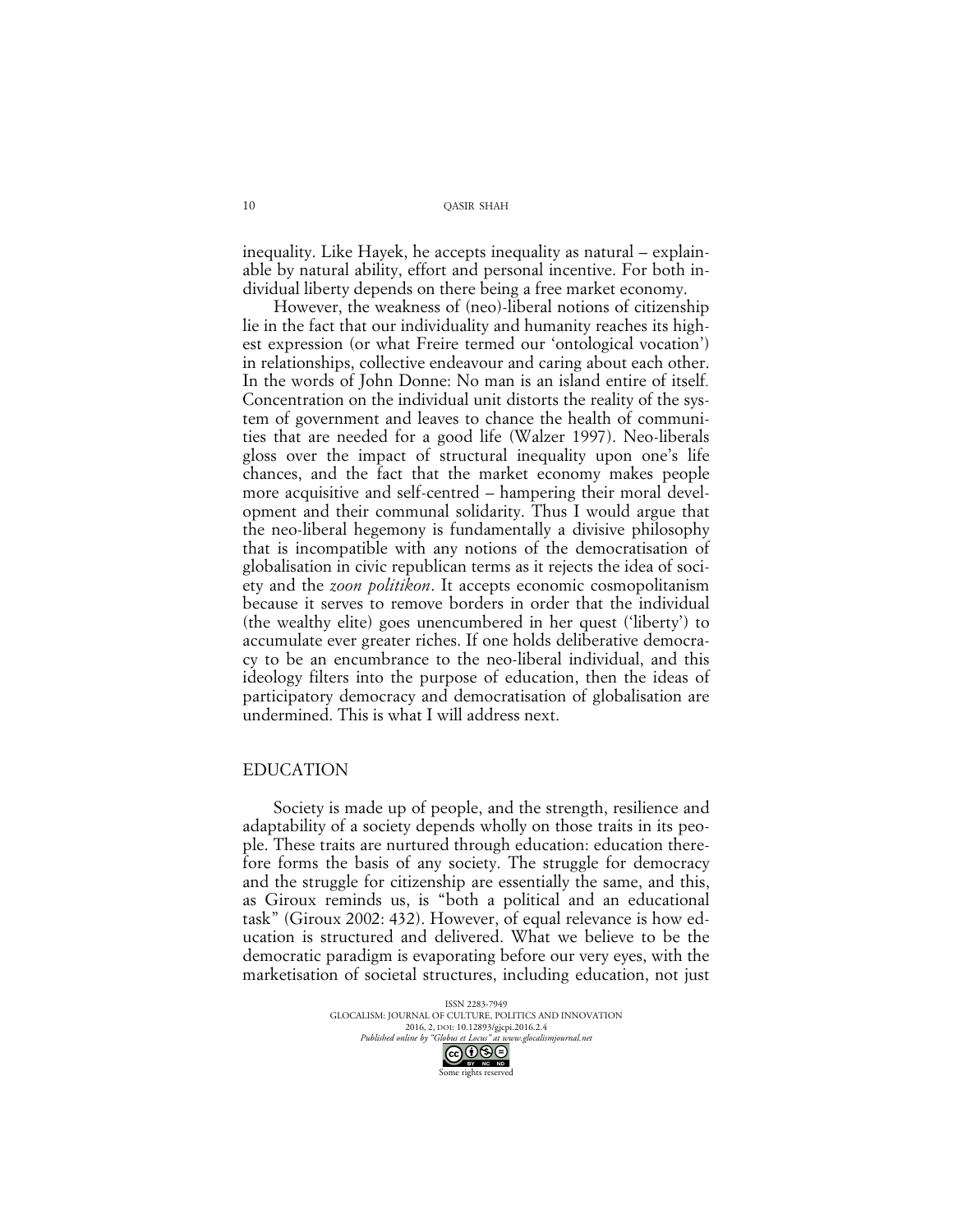inequality. Like Hayek, he accepts inequality as natural – explainable by natural ability, effort and personal incentive. For both individual liberty depends on there being a free market economy.

However, the weakness of (neo)-liberal notions of citizenship lie in the fact that our individuality and humanity reaches its highest expression (or what Freire termed our 'ontological vocation') in relationships, collective endeavour and caring about each other. In the words of John Donne: No man is an island entire of itself*.* Concentration on the individual unit distorts the reality of the system of government and leaves to chance the health of communities that are needed for a good life (Walzer 1997). Neo-liberals gloss over the impact of structural inequality upon one's life chances, and the fact that the market economy makes people more acquisitive and self-centred – hampering their moral development and their communal solidarity. Thus I would argue that the neo-liberal hegemony is fundamentally a divisive philosophy that is incompatible with any notions of the democratisation of globalisation in civic republican terms as it rejects the idea of society and the *zoon politikon*. It accepts economic cosmopolitanism because it serves to remove borders in order that the individual (the wealthy elite) goes unencumbered in her quest ('liberty') to accumulate ever greater riches. If one holds deliberative democracy to be an encumbrance to the neo-liberal individual, and this ideology filters into the purpose of education, then the ideas of participatory democracy and democratisation of globalisation are undermined. This is what I will address next.

# EDUCATION

Society is made up of people, and the strength, resilience and adaptability of a society depends wholly on those traits in its people. These traits are nurtured through education: education therefore forms the basis of any society. The struggle for democracy and the struggle for citizenship are essentially the same, and this, as Giroux reminds us, is "both a political and an educational task" (Giroux 2002: 432). However, of equal relevance is how education is structured and delivered. What we believe to be the democratic paradigm is evaporating before our very eyes, with the marketisation of societal structures, including education, not just

> ISSN 2283-7949 GLOCALISM: JOURNAL OF CULTURE, POLITICS AND INNOVATION 2016, 2, DOI: 10.12893/gjcpi.2016.2.4<br>nline by "Globus et Locus" at www.glocalismiournal net *Published online by "Globus et Locus" at www.glocalismigues*

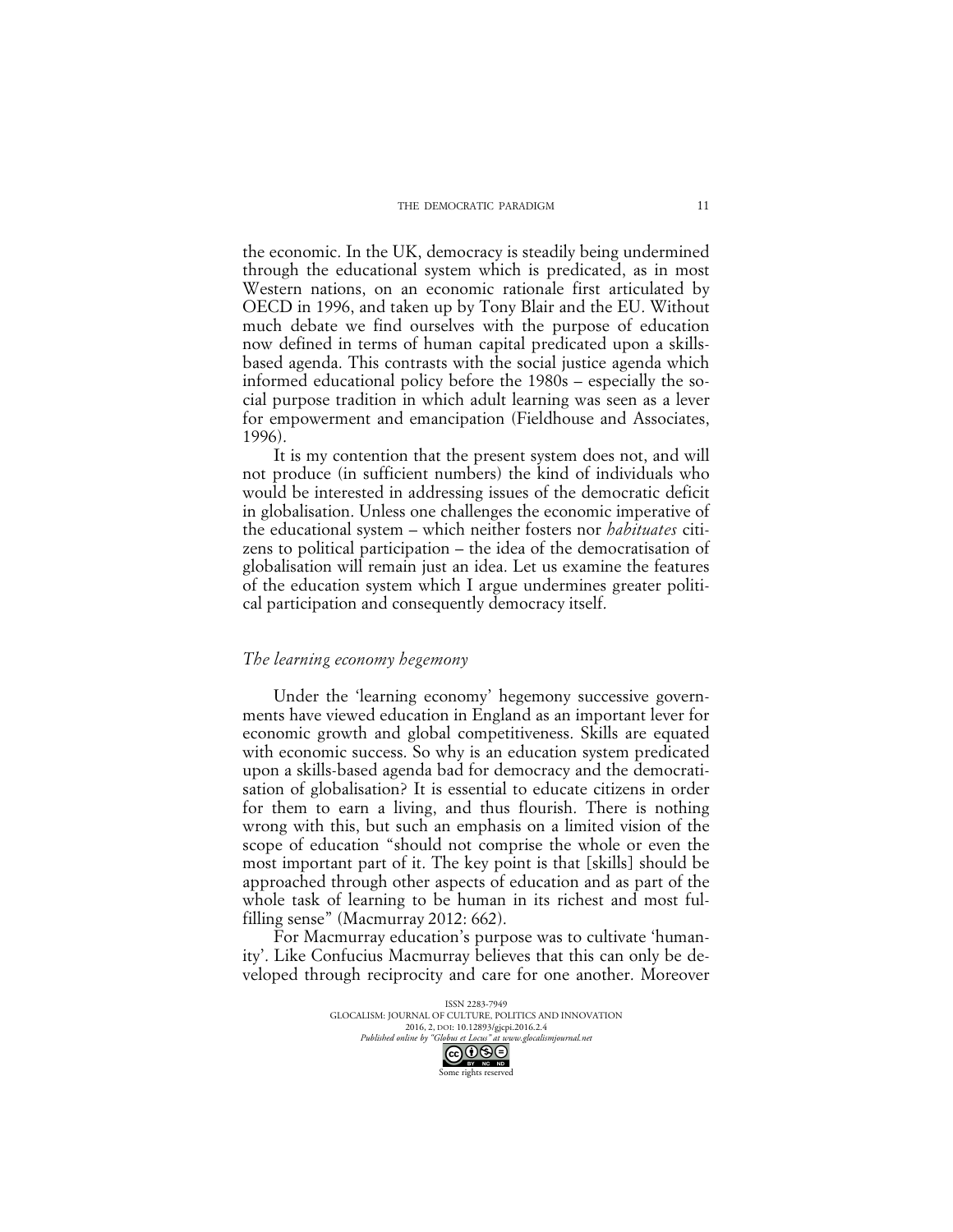#### THE DEMOCRATIC PARADIGM

the economic. In the UK, democracy is steadily being undermined through the educational system which is predicated, as in most Western nations, on an economic rationale first articulated by OECD in 1996, and taken up by Tony Blair and the EU. Without much debate we find ourselves with the purpose of education now defined in terms of human capital predicated upon a skillsbased agenda. This contrasts with the social justice agenda which informed educational policy before the 1980s – especially the social purpose tradition in which adult learning was seen as a lever for empowerment and emancipation (Fieldhouse and Associates, 1996).

It is my contention that the present system does not, and will not produce (in sufficient numbers) the kind of individuals who would be interested in addressing issues of the democratic deficit in globalisation. Unless one challenges the economic imperative of the educational system – which neither fosters nor *habituates* citizens to political participation – the idea of the democratisation of globalisation will remain just an idea. Let us examine the features of the education system which I argue undermines greater political participation and consequently democracy itself.

#### *The learning economy hegemony*

Under the 'learning economy' hegemony successive governments have viewed education in England as an important lever for economic growth and global competitiveness. Skills are equated with economic success. So why is an education system predicated upon a skills-based agenda bad for democracy and the democratisation of globalisation? It is essential to educate citizens in order for them to earn a living, and thus flourish. There is nothing wrong with this, but such an emphasis on a limited vision of the scope of education "should not comprise the whole or even the most important part of it. The key point is that [skills] should be approached through other aspects of education and as part of the whole task of learning to be human in its richest and most fulfilling sense" (Macmurray 2012: 662).

For Macmurray education's purpose was to cultivate 'humanity'. Like Confucius Macmurray believes that this can only be developed through reciprocity and care for one another. Moreover

> ISSN 2283-7949 GLOCALISM: JOURNAL OF CULTURE, POLITICS AND INNOVATION 2016, 2, DOI: 10.12893/gjcpi.2016.2.4<br>nline by "Globus et Locus" at www.glocalismiournal net *Published online by "Globus et Locus" at www.glocalismigues at www.glocalismiguese.glocalismiguese* Some rights reserved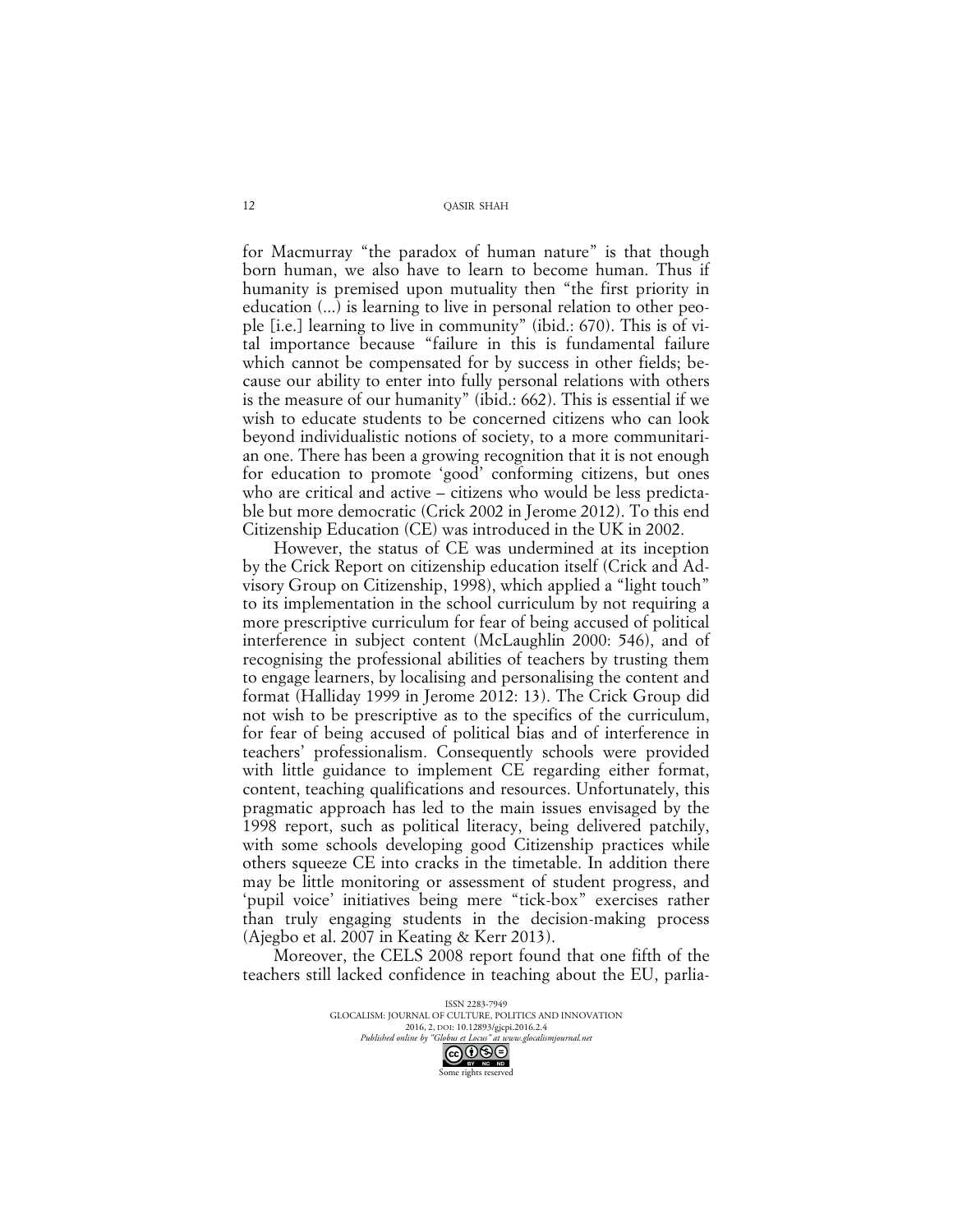for Macmurray "the paradox of human nature" is that though born human, we also have to learn to become human. Thus if humanity is premised upon mutuality then "the first priority in education (...) is learning to live in personal relation to other people [i.e.] learning to live in community" (ibid.: 670). This is of vital importance because "failure in this is fundamental failure which cannot be compensated for by success in other fields; because our ability to enter into fully personal relations with others is the measure of our humanity" (ibid.: 662). This is essential if we wish to educate students to be concerned citizens who can look beyond individualistic notions of society, to a more communitarian one. There has been a growing recognition that it is not enough for education to promote 'good' conforming citizens, but ones who are critical and active – citizens who would be less predictable but more democratic (Crick 2002 in Jerome 2012). To this end Citizenship Education (CE) was introduced in the UK in 2002.

However, the status of CE was undermined at its inception by the Crick Report on citizenship education itself (Crick and Advisory Group on Citizenship, 1998), which applied a "light touch" to its implementation in the school curriculum by not requiring a more prescriptive curriculum for fear of being accused of political interference in subject content (McLaughlin 2000: 546), and of recognising the professional abilities of teachers by trusting them to engage learners, by localising and personalising the content and format (Halliday 1999 in Jerome 2012: 13). The Crick Group did not wish to be prescriptive as to the specifics of the curriculum, for fear of being accused of political bias and of interference in teachers' professionalism. Consequently schools were provided with little guidance to implement CE regarding either format, content, teaching qualifications and resources. Unfortunately, this pragmatic approach has led to the main issues envisaged by the 1998 report, such as political literacy, being delivered patchily, with some schools developing good Citizenship practices while others squeeze CE into cracks in the timetable. In addition there may be little monitoring or assessment of student progress, and 'pupil voice' initiatives being mere "tick-box" exercises rather than truly engaging students in the decision-making process (Ajegbo et al. 2007 in Keating & Kerr 2013).

Moreover, the CELS 2008 report found that one fifth of the teachers still lacked confidence in teaching about the EU, parlia-

> ISSN 2283-7949 GLOCALISM: JOURNAL OF CULTURE, POLITICS AND INNOVATION 2016, 2, DOI: 10.12893/gjcpi.2016.2.4<br>nline by "Globus et Locus" at www.glocalismiournal net *Published online by "Globus et Locus" at www.glocalismigues* Some rights reserved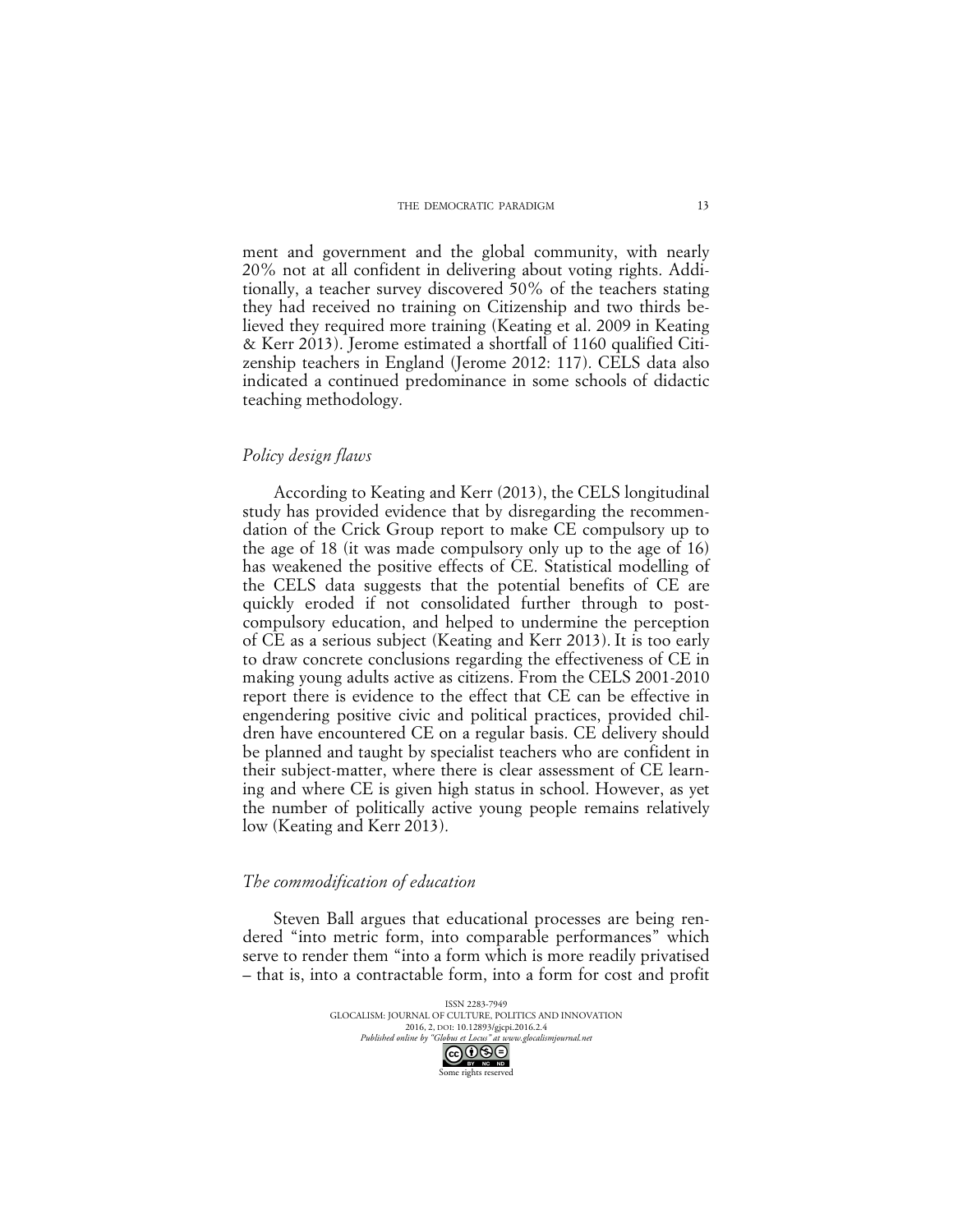ment and government and the global community, with nearly 20% not at all confident in delivering about voting rights. Additionally, a teacher survey discovered 50% of the teachers stating they had received no training on Citizenship and two thirds believed they required more training (Keating et al. 2009 in Keating & Kerr 2013). Jerome estimated a shortfall of 1160 qualified Citizenship teachers in England (Jerome 2012: 117). CELS data also indicated a continued predominance in some schools of didactic teaching methodology.

#### *Policy design flaws*

According to Keating and Kerr (2013), the CELS longitudinal study has provided evidence that by disregarding the recommendation of the Crick Group report to make CE compulsory up to the age of 18 (it was made compulsory only up to the age of 16) has weakened the positive effects of CE. Statistical modelling of the CELS data suggests that the potential benefits of CE are quickly eroded if not consolidated further through to postcompulsory education, and helped to undermine the perception of CE as a serious subject (Keating and Kerr 2013). It is too early to draw concrete conclusions regarding the effectiveness of CE in making young adults active as citizens. From the CELS 2001-2010 report there is evidence to the effect that CE can be effective in engendering positive civic and political practices, provided children have encountered CE on a regular basis. CE delivery should be planned and taught by specialist teachers who are confident in their subject-matter, where there is clear assessment of CE learning and where CE is given high status in school. However, as yet the number of politically active young people remains relatively low (Keating and Kerr 2013).

### *The commodification of education*

Steven Ball argues that educational processes are being rendered "into metric form, into comparable performances" which serve to render them "into a form which is more readily privatised – that is, into a contractable form, into a form for cost and profit

> ISSN 2283-7949 GLOCALISM: JOURNAL OF CULTURE, POLITICS AND INNOVATION 2016, 2, DOI: 10.12893/gjcpi.2016.2.4<br>nline by "Globus et Locus" at www.glocalismiournal net *Published online by "Globus et Locus" at www.glocalismigues at www.glocalismiguese.* Some rights reserved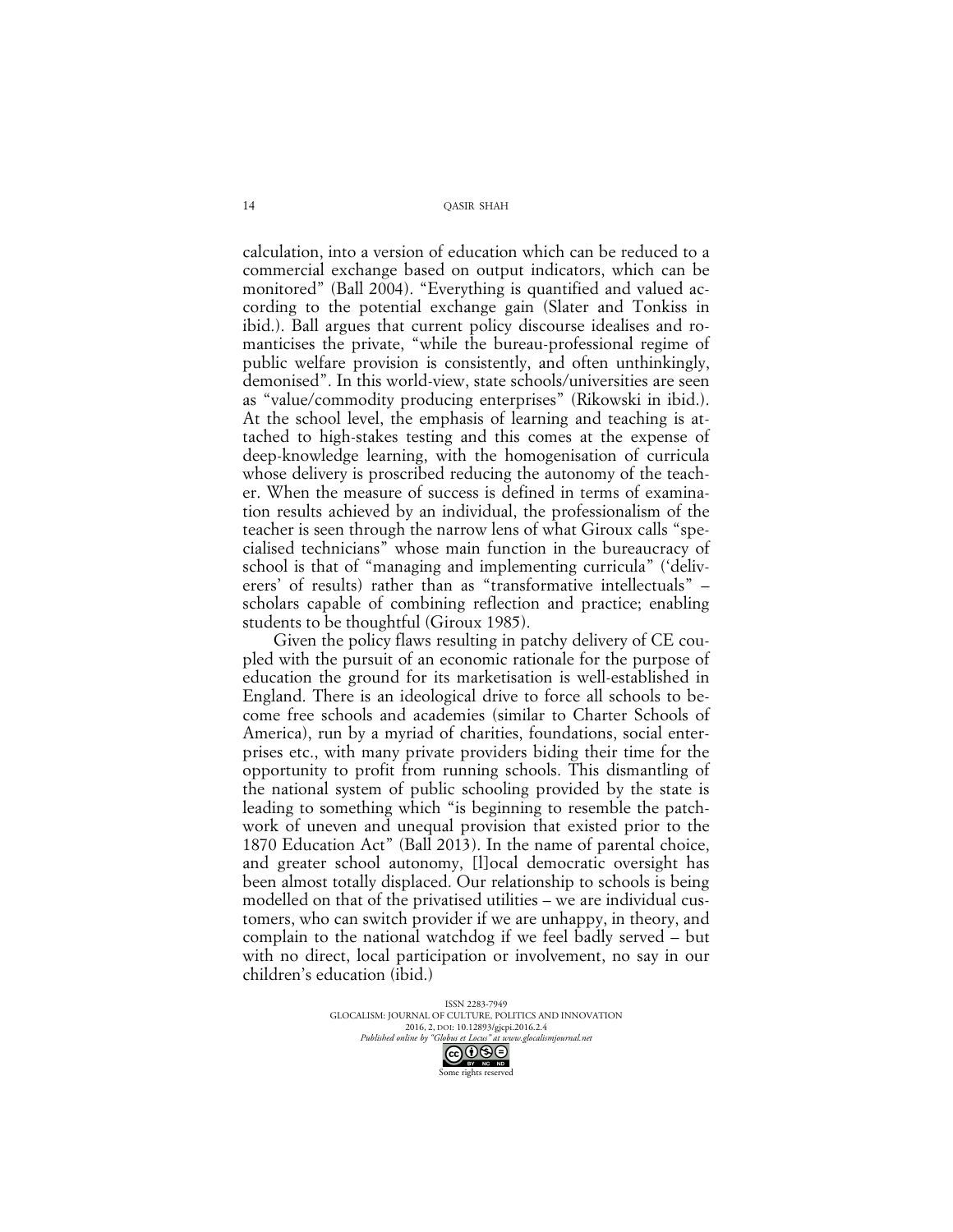calculation, into a version of education which can be reduced to a commercial exchange based on output indicators, which can be monitored" (Ball 2004). "Everything is quantified and valued according to the potential exchange gain (Slater and Tonkiss in ibid.). Ball argues that current policy discourse idealises and romanticises the private, "while the bureau-professional regime of public welfare provision is consistently, and often unthinkingly, demonised". In this world-view, state schools/universities are seen as "value/commodity producing enterprises" (Rikowski in ibid.). At the school level, the emphasis of learning and teaching is attached to high-stakes testing and this comes at the expense of deep-knowledge learning, with the homogenisation of curricula whose delivery is proscribed reducing the autonomy of the teacher. When the measure of success is defined in terms of examination results achieved by an individual, the professionalism of the teacher is seen through the narrow lens of what Giroux calls "specialised technicians" whose main function in the bureaucracy of school is that of "managing and implementing curricula" ('deliverers' of results) rather than as "transformative intellectuals" – scholars capable of combining reflection and practice; enabling students to be thoughtful (Giroux 1985).

Given the policy flaws resulting in patchy delivery of CE coupled with the pursuit of an economic rationale for the purpose of education the ground for its marketisation is well-established in England. There is an ideological drive to force all schools to become free schools and academies (similar to Charter Schools of America), run by a myriad of charities, foundations, social enterprises etc., with many private providers biding their time for the opportunity to profit from running schools. This dismantling of the national system of public schooling provided by the state is leading to something which "is beginning to resemble the patchwork of uneven and unequal provision that existed prior to the 1870 Education Act" (Ball 2013). In the name of parental choice, and greater school autonomy, [l]ocal democratic oversight has been almost totally displaced. Our relationship to schools is being modelled on that of the privatised utilities – we are individual customers, who can switch provider if we are unhappy, in theory, and complain to the national watchdog if we feel badly served – but with no direct, local participation or involvement, no say in our children's education (ibid.)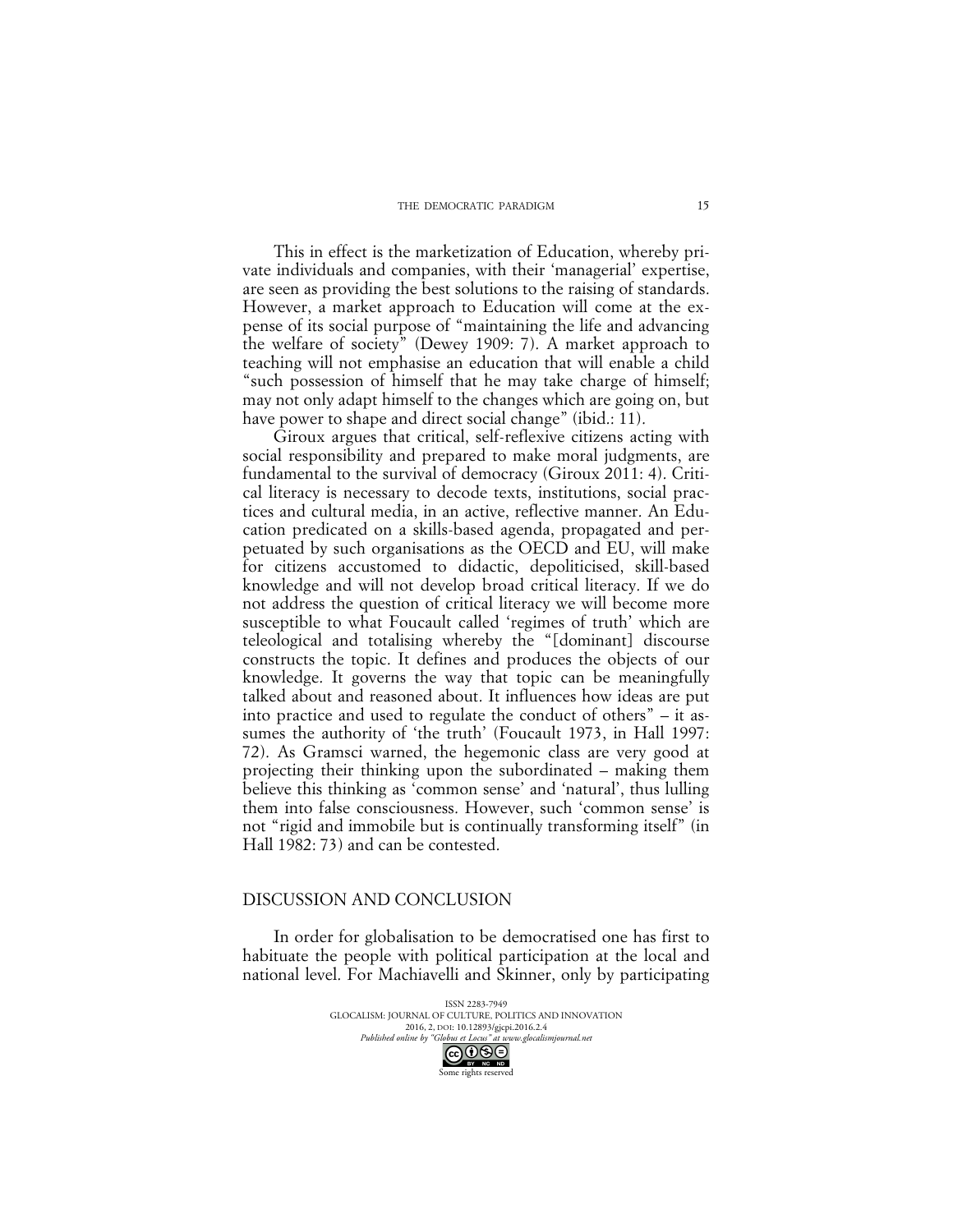#### THE DEMOCRATIC PARADIGM

This in effect is the marketization of Education, whereby private individuals and companies, with their 'managerial' expertise, are seen as providing the best solutions to the raising of standards. However, a market approach to Education will come at the expense of its social purpose of "maintaining the life and advancing the welfare of society" (Dewey 1909: 7). A market approach to teaching will not emphasise an education that will enable a child "such possession of himself that he may take charge of himself; may not only adapt himself to the changes which are going on, but have power to shape and direct social change" (ibid.: 11).

Giroux argues that critical, self-reflexive citizens acting with social responsibility and prepared to make moral judgments, are fundamental to the survival of democracy (Giroux 2011: 4). Critical literacy is necessary to decode texts, institutions, social practices and cultural media, in an active, reflective manner. An Education predicated on a skills-based agenda, propagated and perpetuated by such organisations as the OECD and EU, will make for citizens accustomed to didactic, depoliticised, skill-based knowledge and will not develop broad critical literacy. If we do not address the question of critical literacy we will become more susceptible to what Foucault called 'regimes of truth' which are teleological and totalising whereby the "[dominant] discourse constructs the topic. It defines and produces the objects of our knowledge. It governs the way that topic can be meaningfully talked about and reasoned about. It influences how ideas are put into practice and used to regulate the conduct of others" – it assumes the authority of 'the truth' (Foucault 1973, in Hall 1997: 72). As Gramsci warned, the hegemonic class are very good at projecting their thinking upon the subordinated – making them believe this thinking as 'common sense' and 'natural', thus lulling them into false consciousness. However, such 'common sense' is not "rigid and immobile but is continually transforming itself" (in Hall 1982: 73) and can be contested.

#### DISCUSSION AND CONCLUSION

In order for globalisation to be democratised one has first to habituate the people with political participation at the local and national level. For Machiavelli and Skinner, only by participating

> ISSN 2283-7949 GLOCALISM: JOURNAL OF CULTURE, POLITICS AND INNOVATION 2016, 2, DOI: 10.12893/gjcpi.2016.2.4<br>nline by "Globus et Locus" at www.glocalismiournal net *Published online by "Globus et Locus" at www.glocalismigues*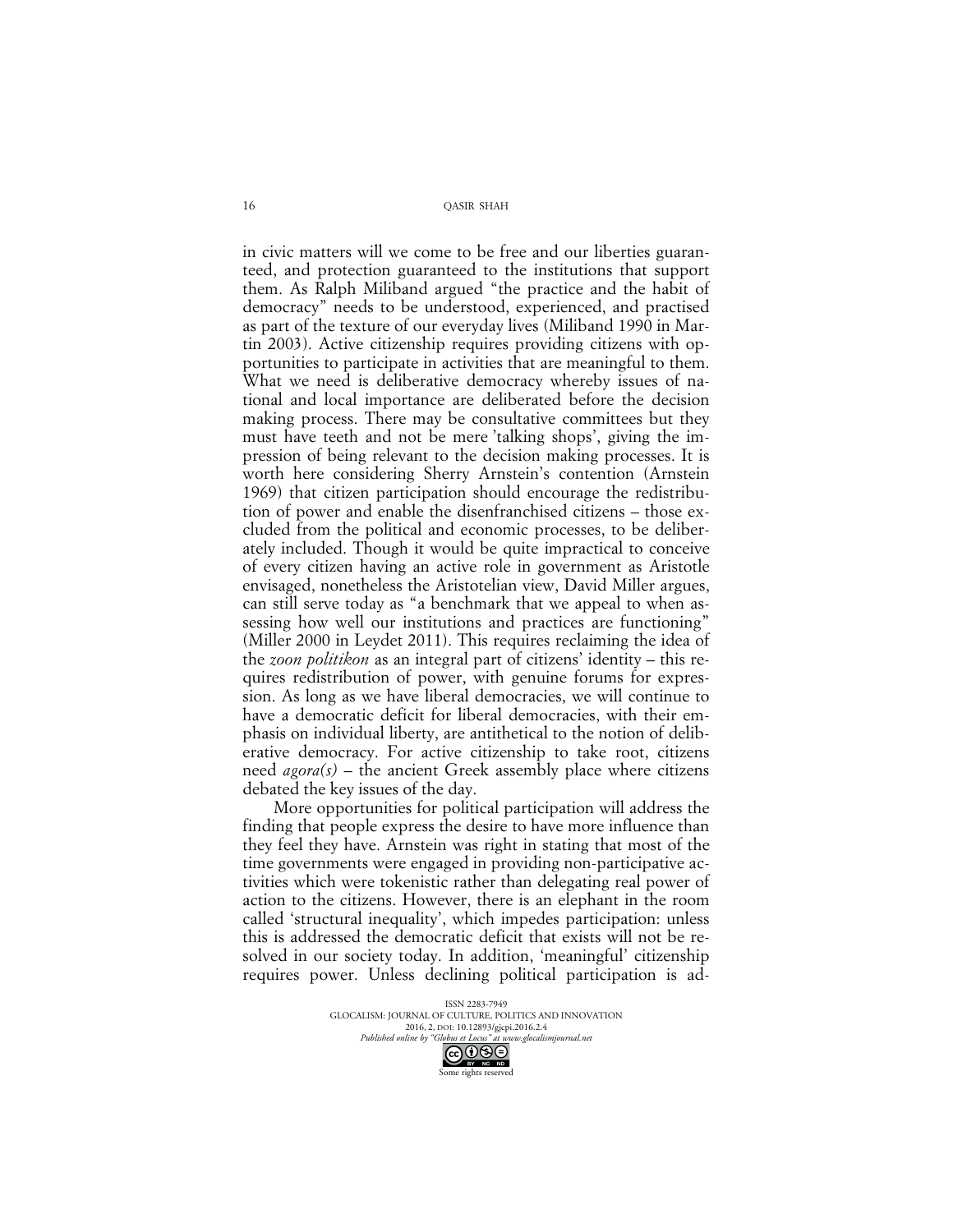in civic matters will we come to be free and our liberties guaranteed, and protection guaranteed to the institutions that support them. As Ralph Miliband argued "the practice and the habit of democracy" needs to be understood, experienced, and practised as part of the texture of our everyday lives (Miliband 1990 in Martin 2003). Active citizenship requires providing citizens with opportunities to participate in activities that are meaningful to them. What we need is deliberative democracy whereby issues of national and local importance are deliberated before the decision making process. There may be consultative committees but they must have teeth and not be mere 'talking shops', giving the impression of being relevant to the decision making processes. It is worth here considering Sherry Arnstein's contention (Arnstein 1969) that citizen participation should encourage the redistribution of power and enable the disenfranchised citizens – those excluded from the political and economic processes, to be deliberately included. Though it would be quite impractical to conceive of every citizen having an active role in government as Aristotle envisaged, nonetheless the Aristotelian view, David Miller argues, can still serve today as "a benchmark that we appeal to when assessing how well our institutions and practices are functioning" (Miller 2000 in Leydet 2011). This requires reclaiming the idea of the *zoon politikon* as an integral part of citizens' identity – this requires redistribution of power, with genuine forums for expression. As long as we have liberal democracies, we will continue to have a democratic deficit for liberal democracies, with their emphasis on individual liberty, are antithetical to the notion of deliberative democracy. For active citizenship to take root, citizens need *agora(s) –* the ancient Greek assembly place where citizens debated the key issues of the day.

More opportunities for political participation will address the finding that people express the desire to have more influence than they feel they have. Arnstein was right in stating that most of the time governments were engaged in providing non-participative activities which were tokenistic rather than delegating real power of action to the citizens. However, there is an elephant in the room called 'structural inequality', which impedes participation: unless this is addressed the democratic deficit that exists will not be resolved in our society today. In addition, 'meaningful' citizenship requires power. Unless declining political participation is ad-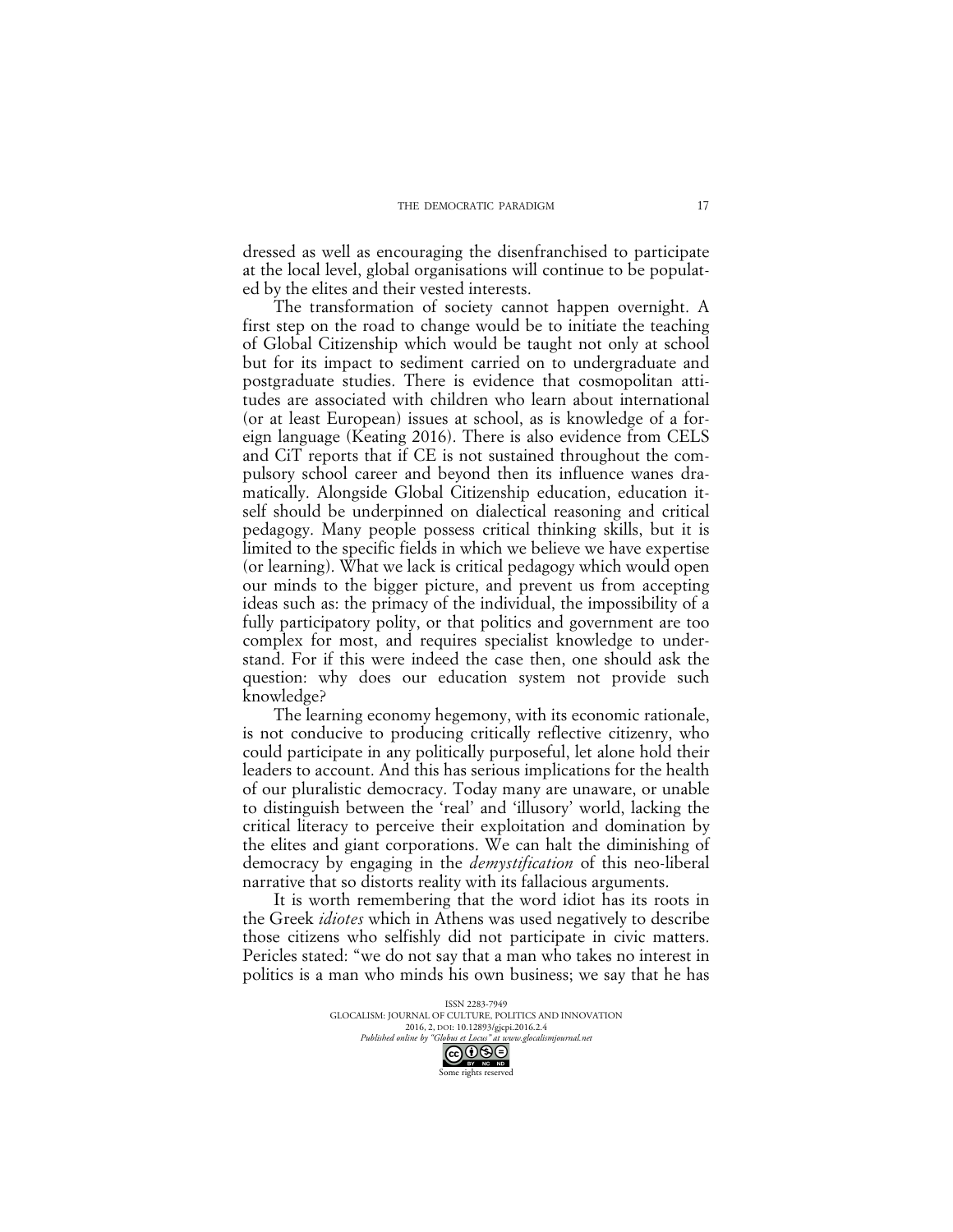dressed as well as encouraging the disenfranchised to participate at the local level, global organisations will continue to be populated by the elites and their vested interests.

The transformation of society cannot happen overnight. A first step on the road to change would be to initiate the teaching of Global Citizenship which would be taught not only at school but for its impact to sediment carried on to undergraduate and postgraduate studies. There is evidence that cosmopolitan attitudes are associated with children who learn about international (or at least European) issues at school, as is knowledge of a foreign language (Keating 2016). There is also evidence from CELS and CiT reports that if CE is not sustained throughout the compulsory school career and beyond then its influence wanes dramatically. Alongside Global Citizenship education, education itself should be underpinned on dialectical reasoning and critical pedagogy. Many people possess critical thinking skills, but it is limited to the specific fields in which we believe we have expertise (or learning). What we lack is critical pedagogy which would open our minds to the bigger picture, and prevent us from accepting ideas such as: the primacy of the individual, the impossibility of a fully participatory polity, or that politics and government are too complex for most, and requires specialist knowledge to understand. For if this were indeed the case then, one should ask the question: why does our education system not provide such knowledge?

The learning economy hegemony, with its economic rationale, is not conducive to producing critically reflective citizenry, who could participate in any politically purposeful, let alone hold their leaders to account. And this has serious implications for the health of our pluralistic democracy. Today many are unaware, or unable to distinguish between the 'real' and 'illusory' world, lacking the critical literacy to perceive their exploitation and domination by the elites and giant corporations. We can halt the diminishing of democracy by engaging in the *demystification* of this neo-liberal narrative that so distorts reality with its fallacious arguments.

It is worth remembering that the word idiot has its roots in the Greek *idiotes* which in Athens was used negatively to describe those citizens who selfishly did not participate in civic matters. Pericles stated: "we do not say that a man who takes no interest in politics is a man who minds his own business; we say that he has

> ISSN 2283-7949 GLOCALISM: JOURNAL OF CULTURE, POLITICS AND INNOVATION 2016, 2, DOI: 10.12893/gjcpi.2016.2.4<br>nline by "Globus et Locus" at www.glocalismiournal.net *Published online by "Globus et Locus" at www.glocalismigues*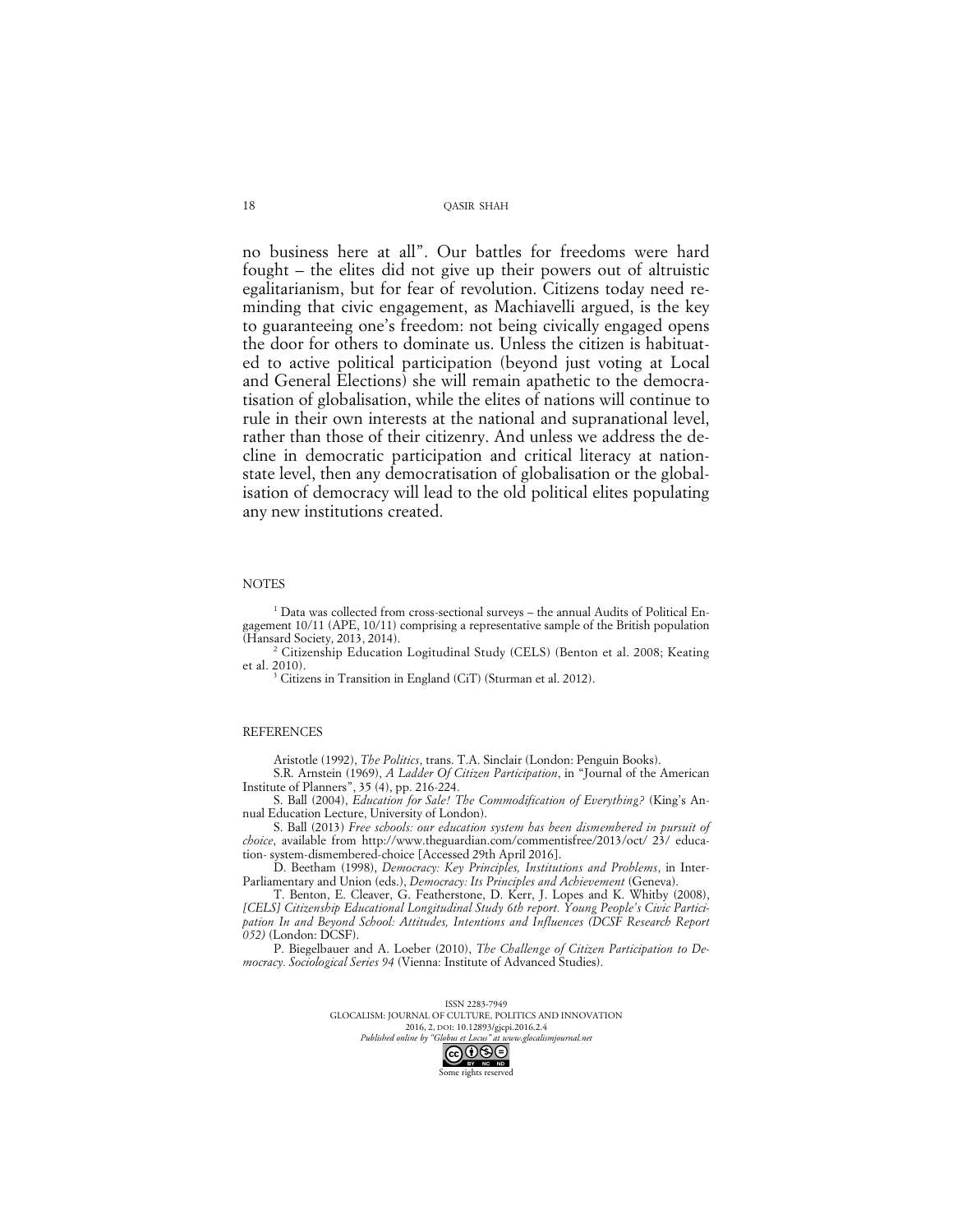no business here at all". Our battles for freedoms were hard fought – the elites did not give up their powers out of altruistic egalitarianism, but for fear of revolution. Citizens today need reminding that civic engagement, as Machiavelli argued, is the key to guaranteeing one's freedom: not being civically engaged opens the door for others to dominate us. Unless the citizen is habituated to active political participation (beyond just voting at Local and General Elections) she will remain apathetic to the democratisation of globalisation, while the elites of nations will continue to rule in their own interests at the national and supranational level, rather than those of their citizenry. And unless we address the decline in democratic participation and critical literacy at nationstate level, then any democratisation of globalisation or the globalisation of democracy will lead to the old political elites populating any new institutions created.

#### **NOTES**

<sup>1</sup> Data was collected from cross-sectional surveys – the annual Audits of Political Engagement 10/11 (APE, 10/11) comprising a representative sample of the British population (Hansard Society, 2013, 2014).

<sup>2</sup> Citizenship Education Logitudinal Study (CELS) (Benton et al. 2008; Keating et al. 2010).

<sup>3</sup> Citizens in Transition in England (CiT) (Sturman et al. 2012).

#### **REFERENCES**

Aristotle (1992), *The Politics*, trans. T.A. Sinclair (London: Penguin Books).

S.R. Arnstein (1969), *A Ladder Of Citizen Participation*, in "Journal of the American Institute of Planners", 35 (4), pp. 216-224.

S. Ball (2004), *Education for Sale! The Commodification of Everything?* (King's Annual Education Lecture, University of London).

S. Ball (2013) *Free schools: our education system has been dismembered in pursuit of choice*, available from http://www.theguardian.com/commentisfree/2013/oct/ 23/ education- system-dismembered-choice [Accessed 29th April 2016].

D. Beetham (1998), *Democracy: Key Principles, Institutions and Problems*, in Inter-Parliamentary and Union (eds.), *Democracy: Its Principles and Achievement* (Geneva).

T. Benton, E. Cleaver, G. Featherstone, D. Kerr, J. Lopes and K. Whitby (2008), [CELS] Citizenship Educational Longitudinal Study 6th report. Young People's Civic Partici*pation In and Beyond School: Attitudes, Intentions and Influences (DCSF Research Report 052)* (London: DCSF).

P. Biegelbauer and A. Loeber (2010), *The Challenge of Citizen Participation to Democracy. Sociological Series 94* (Vienna: Institute of Advanced Studies).

> ISSN 2283-7949 GLOCALISM: JOURNAL OF CULTURE, POLITICS AND INNOVATION 2016, 2, DOI: 10.12893/gjcpi.2016.2.4<br>nline by "Globus et Locus" at www.glocalismiournal.net

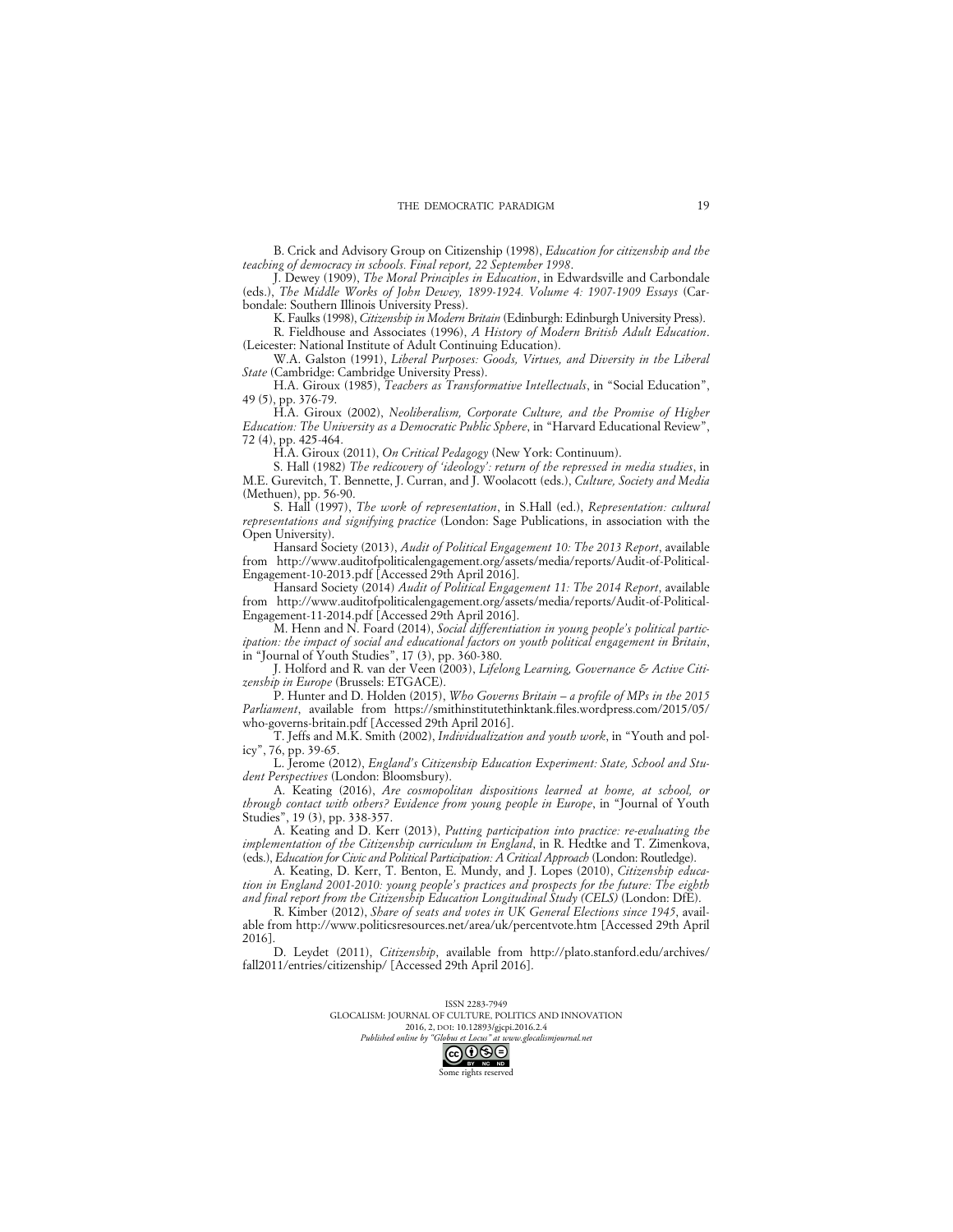B. Crick and Advisory Group on Citizenship (1998), *Education for citizenship and the teaching of democracy in schools. Final report, 22 September 1998*.

J. Dewey (1909), *The Moral Principles in Education*, in Edwardsville and Carbondale (eds.), *The Middle Works of John Dewey, 1899-1924. Volume 4: 1907-1909 Essays* (Carbondale: Southern Illinois University Press).

K. Faulks (1998), *Citizenship in Modern Britain* (Edinburgh: Edinburgh University Press). R. Fieldhouse and Associates (1996), *A History of Modern British Adult Education*.

(Leicester: National Institute of Adult Continuing Education). W.A. Galston (1991), *Liberal Purposes: Goods, Virtues, and Diversity in the Liberal* 

*State* (Cambridge: Cambridge University Press). H.A. Giroux (1985), *Teachers as Transformative Intellectuals*, in "Social Education",

49 (5), pp. 376-79. H.A. Giroux (2002), *Neoliberalism, Corporate Culture, and the Promise of Higher Education: The University as a Democratic Public Sphere*, in "Harvard Educational Review",

72 (4), pp. 425-464.

H.A. Giroux (2011), *On Critical Pedagogy* (New York: Continuum).

S. Hall (1982) *The redicovery of 'ideology': return of the repressed in media studies*, in M.E. Gurevitch, T. Bennette, J. Curran, and J. Woolacott (eds.), *Culture, Society and Media* (Methuen), pp. 56-90.

S. Hall (1997), *The work of representation*, in S.Hall (ed.), *Representation: cultural representations and signifying practice* (London: Sage Publications, in association with the Open University).

Hansard Society (2013), *Audit of Political Engagement 10: The 2013 Report*, available from http://www.auditofpoliticalengagement.org/assets/media/reports/Audit-of-Political-Engagement-10-2013.pdf [Accessed 29th April 2016].

Hansard Society (2014) *Audit of Political Engagement 11: The 2014 Report*, available from http://www.auditofpoliticalengagement.org/assets/media/reports/Audit-of-Political-Engagement-11-2014.pdf [Accessed 29th April 2016].

M. Henn and N. Foard (2014), *Social differentiation in young people's political participation: the impact of social and educational factors on youth political engagement in Britain*, in "Journal of Youth Studies", 17 (3), pp. 360-380.

J. Holford and R. van der Veen (2003), *Lifelong Learning, Governance & Active Citizenship in Europe* (Brussels: ETGACE).

P. Hunter and D. Holden (2015), *Who Governs Britain – a profile of MPs in the 2015 Parliament*, available from https://smithinstitutethinktank.files.wordpress.com/2015/05/ who-governs-britain.pdf [Accessed 29th April 2016].

T. Jeffs and M.K. Smith (2002), *Individualization and youth work*, in "Youth and policy", 76, pp. 39-65.

L. Jerome (2012), *England's Citizenship Education Experiment: State, School and Student Perspectives* (London: Bloomsbury).

A. Keating (2016), *Are cosmopolitan dispositions learned at home, at school, or through contact with others? Evidence from young people in Europe*, in "Journal of Youth Studies", 19 (3), pp. 338-357.

A. Keating and D. Kerr (2013), *Putting participation into practice: re-evaluating the implementation of the Citizenship curriculum in England*, in R. Hedtke and T. Zimenkova, (eds.), *Education for Civic and Political Participation: A Critical Approach* (London: Routledge).

A. Keating, D. Kerr, T. Benton, E. Mundy, and J. Lopes (2010), *Citizenship education in England 2001-2010: young people's practices and prospects for the future: The eighth and final report from the Citizenship Education Longitudinal Study (CELS)* (London: DfE).

R. Kimber (2012), *Share of seats and votes in UK General Elections since 1945*, available from http://www.politicsresources.net/area/uk/percentvote.htm [Accessed 29th April 2016].

D. Leydet (2011), *Citizenship*, available from http://plato.stanford.edu/archives/ fall2011/entries/citizenship/ [Accessed 29th April 2016].

> ISSN 2283-7949 GLOCALISM: JOURNAL OF CULTURE, POLITICS AND INNOVATION 2016, 2, DOI: 10.12893/gjcpi.2016.2.4<br>nline by "Globus et Locus" at www.glocalismiournal.net